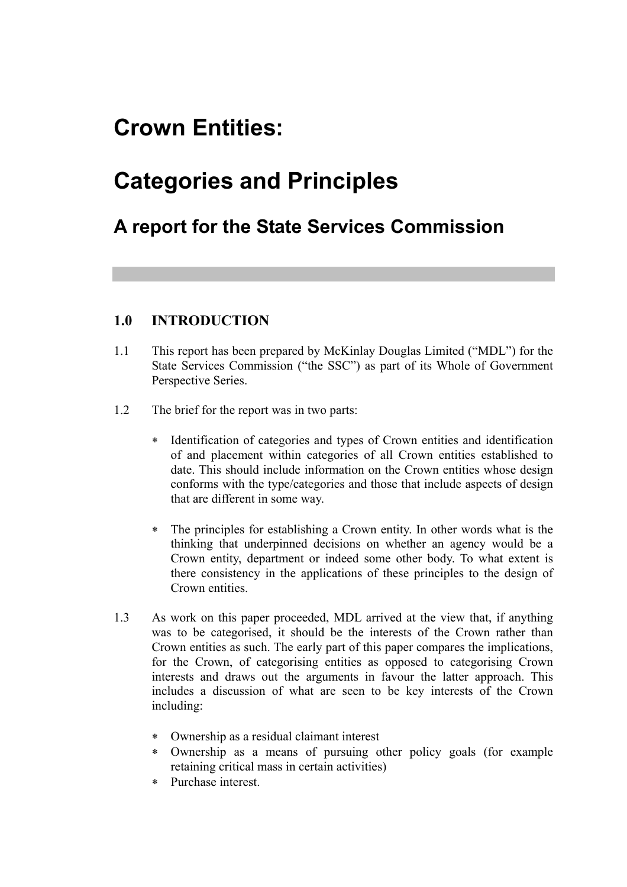## **Crown Entities:**

# **Categories and Principles**

## **A report for the State Services Commission**

## **1.0 INTRODUCTION**

- 1.1 This report has been prepared by McKinlay Douglas Limited ("MDL") for the State Services Commission ("the SSC") as part of its Whole of Government Perspective Series.
- 1.2 The brief for the report was in two parts:
	- ∗ Identification of categories and types of Crown entities and identification of and placement within categories of all Crown entities established to date. This should include information on the Crown entities whose design conforms with the type/categories and those that include aspects of design that are different in some way.
	- ∗ The principles for establishing a Crown entity. In other words what is the thinking that underpinned decisions on whether an agency would be a Crown entity, department or indeed some other body. To what extent is there consistency in the applications of these principles to the design of Crown entities.
- 1.3 As work on this paper proceeded, MDL arrived at the view that, if anything was to be categorised, it should be the interests of the Crown rather than Crown entities as such. The early part of this paper compares the implications, for the Crown, of categorising entities as opposed to categorising Crown interests and draws out the arguments in favour the latter approach. This includes a discussion of what are seen to be key interests of the Crown including:
	- ∗ Ownership as a residual claimant interest
	- ∗ Ownership as a means of pursuing other policy goals (for example retaining critical mass in certain activities)
	- ∗ Purchase interest.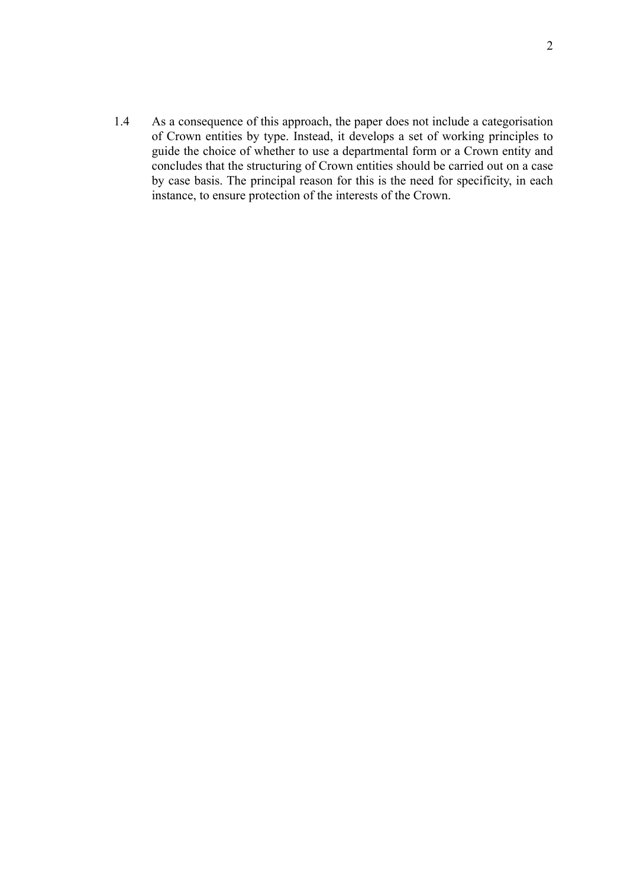1.4 As a consequence of this approach, the paper does not include a categorisation of Crown entities by type. Instead, it develops a set of working principles to guide the choice of whether to use a departmental form or a Crown entity and concludes that the structuring of Crown entities should be carried out on a case by case basis. The principal reason for this is the need for specificity, in each instance, to ensure protection of the interests of the Crown.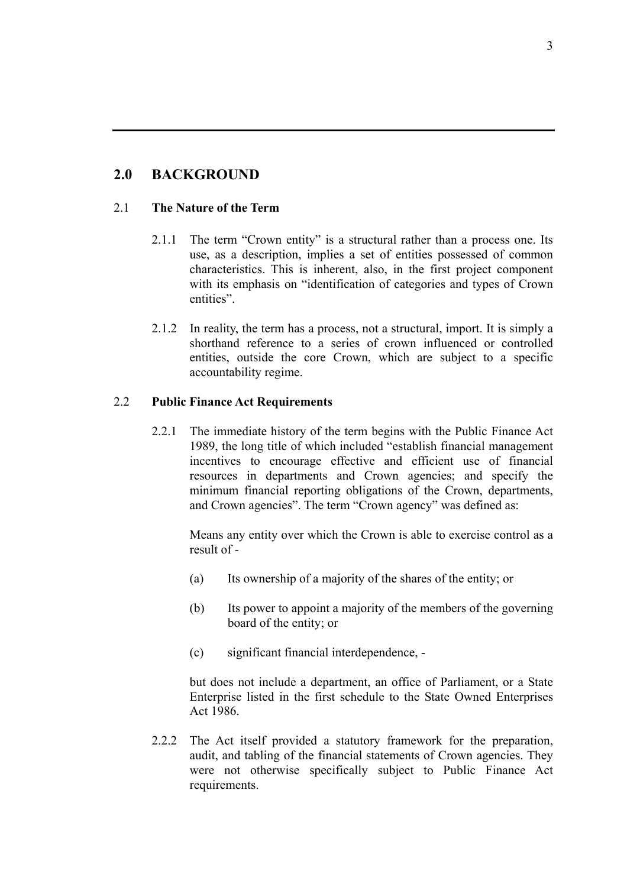## **2.0 BACKGROUND**

#### 2.1 **The Nature of the Term**

- 2.1.1 The term "Crown entity" is a structural rather than a process one. Its use, as a description, implies a set of entities possessed of common characteristics. This is inherent, also, in the first project component with its emphasis on "identification of categories and types of Crown entities".
- 2.1.2 In reality, the term has a process, not a structural, import. It is simply a shorthand reference to a series of crown influenced or controlled entities, outside the core Crown, which are subject to a specific accountability regime.

#### 2.2 **Public Finance Act Requirements**

2.2.1 The immediate history of the term begins with the Public Finance Act 1989, the long title of which included "establish financial management incentives to encourage effective and efficient use of financial resources in departments and Crown agencies; and specify the minimum financial reporting obligations of the Crown, departments, and Crown agencies". The term "Crown agency" was defined as:

Means any entity over which the Crown is able to exercise control as a result of -

- (a) Its ownership of a majority of the shares of the entity; or
- (b) Its power to appoint a majority of the members of the governing board of the entity; or
- (c) significant financial interdependence, -

but does not include a department, an office of Parliament, or a State Enterprise listed in the first schedule to the State Owned Enterprises Act 1986.

2.2.2 The Act itself provided a statutory framework for the preparation, audit, and tabling of the financial statements of Crown agencies. They were not otherwise specifically subject to Public Finance Act requirements.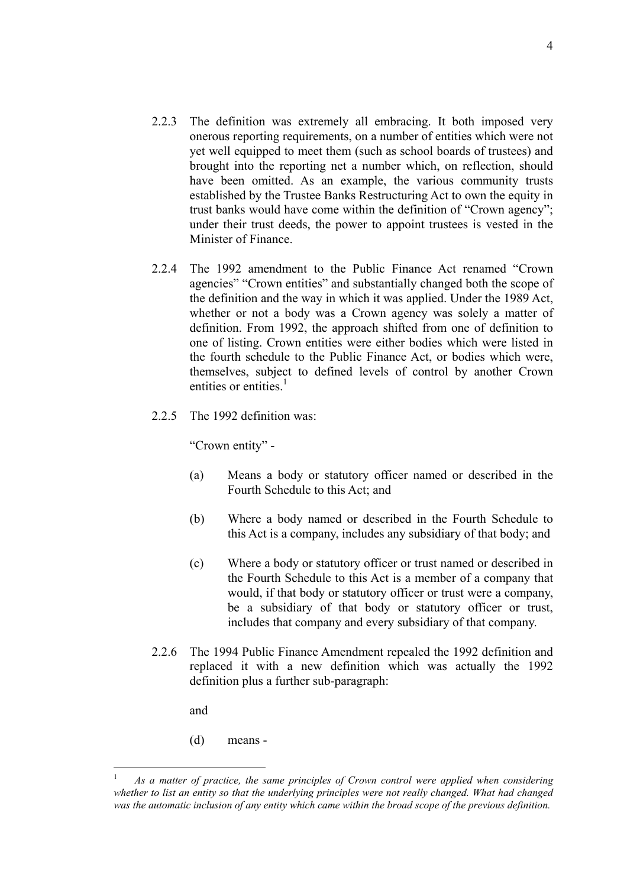- 2.2.3 The definition was extremely all embracing. It both imposed very onerous reporting requirements, on a number of entities which were not yet well equipped to meet them (such as school boards of trustees) and brought into the reporting net a number which, on reflection, should have been omitted. As an example, the various community trusts established by the Trustee Banks Restructuring Act to own the equity in trust banks would have come within the definition of "Crown agency"; under their trust deeds, the power to appoint trustees is vested in the Minister of Finance.
- 2.2.4 The 1992 amendment to the Public Finance Act renamed "Crown agencies" "Crown entities" and substantially changed both the scope of the definition and the way in which it was applied. Under the 1989 Act, whether or not a body was a Crown agency was solely a matter of definition. From 1992, the approach shifted from one of definition to one of listing. Crown entities were either bodies which were listed in the fourth schedule to the Public Finance Act, or bodies which were, themselves, subject to defined levels of control by another Crown entities or entities. $<sup>1</sup>$ </sup>
- 2.2.5 The 1992 definition was:

"Crown entity" -

- (a) Means a body or statutory officer named or described in the Fourth Schedule to this Act; and
- (b) Where a body named or described in the Fourth Schedule to this Act is a company, includes any subsidiary of that body; and
- (c) Where a body or statutory officer or trust named or described in the Fourth Schedule to this Act is a member of a company that would, if that body or statutory officer or trust were a company, be a subsidiary of that body or statutory officer or trust, includes that company and every subsidiary of that company.
- 2.2.6 The 1994 Public Finance Amendment repealed the 1992 definition and replaced it with a new definition which was actually the 1992 definition plus a further sub-paragraph:

and

 $\overline{a}$ 

(d) means -

<sup>1</sup> *As a matter of practice, the same principles of Crown control were applied when considering whether to list an entity so that the underlying principles were not really changed. What had changed was the automatic inclusion of any entity which came within the broad scope of the previous definition.*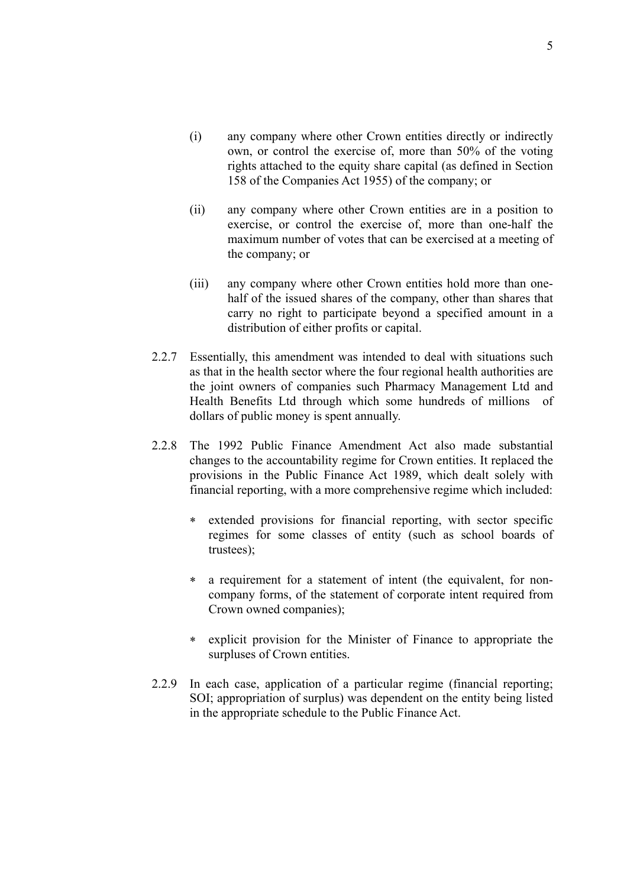- (i) any company where other Crown entities directly or indirectly own, or control the exercise of, more than 50% of the voting rights attached to the equity share capital (as defined in Section 158 of the Companies Act 1955) of the company; or
- (ii) any company where other Crown entities are in a position to exercise, or control the exercise of, more than one-half the maximum number of votes that can be exercised at a meeting of the company; or
- (iii) any company where other Crown entities hold more than onehalf of the issued shares of the company, other than shares that carry no right to participate beyond a specified amount in a distribution of either profits or capital.
- 2.2.7 Essentially, this amendment was intended to deal with situations such as that in the health sector where the four regional health authorities are the joint owners of companies such Pharmacy Management Ltd and Health Benefits Ltd through which some hundreds of millions of dollars of public money is spent annually.
- 2.2.8 The 1992 Public Finance Amendment Act also made substantial changes to the accountability regime for Crown entities. It replaced the provisions in the Public Finance Act 1989, which dealt solely with financial reporting, with a more comprehensive regime which included:
	- ∗ extended provisions for financial reporting, with sector specific regimes for some classes of entity (such as school boards of trustees);
	- ∗ a requirement for a statement of intent (the equivalent, for noncompany forms, of the statement of corporate intent required from Crown owned companies);
	- ∗ explicit provision for the Minister of Finance to appropriate the surpluses of Crown entities.
- 2.2.9 In each case, application of a particular regime (financial reporting; SOI; appropriation of surplus) was dependent on the entity being listed in the appropriate schedule to the Public Finance Act.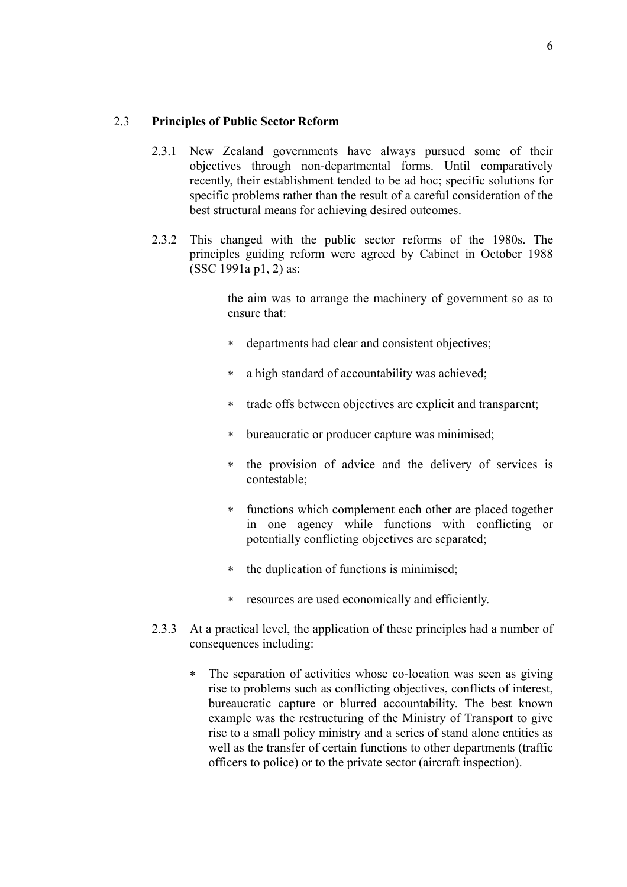#### 2.3 **Principles of Public Sector Reform**

- 2.3.1 New Zealand governments have always pursued some of their objectives through non-departmental forms. Until comparatively recently, their establishment tended to be ad hoc; specific solutions for specific problems rather than the result of a careful consideration of the best structural means for achieving desired outcomes.
- 2.3.2 This changed with the public sector reforms of the 1980s. The principles guiding reform were agreed by Cabinet in October 1988 (SSC 1991a p1, 2) as:

the aim was to arrange the machinery of government so as to ensure that:

- ∗ departments had clear and consistent objectives;
- ∗ a high standard of accountability was achieved;
- ∗ trade offs between objectives are explicit and transparent;
- ∗ bureaucratic or producer capture was minimised;
- ∗ the provision of advice and the delivery of services is contestable;
- ∗ functions which complement each other are placed together in one agency while functions with conflicting or potentially conflicting objectives are separated;
- ∗ the duplication of functions is minimised;
- ∗ resources are used economically and efficiently.
- 2.3.3 At a practical level, the application of these principles had a number of consequences including:
	- ∗ The separation of activities whose co-location was seen as giving rise to problems such as conflicting objectives, conflicts of interest, bureaucratic capture or blurred accountability. The best known example was the restructuring of the Ministry of Transport to give rise to a small policy ministry and a series of stand alone entities as well as the transfer of certain functions to other departments (traffic officers to police) or to the private sector (aircraft inspection).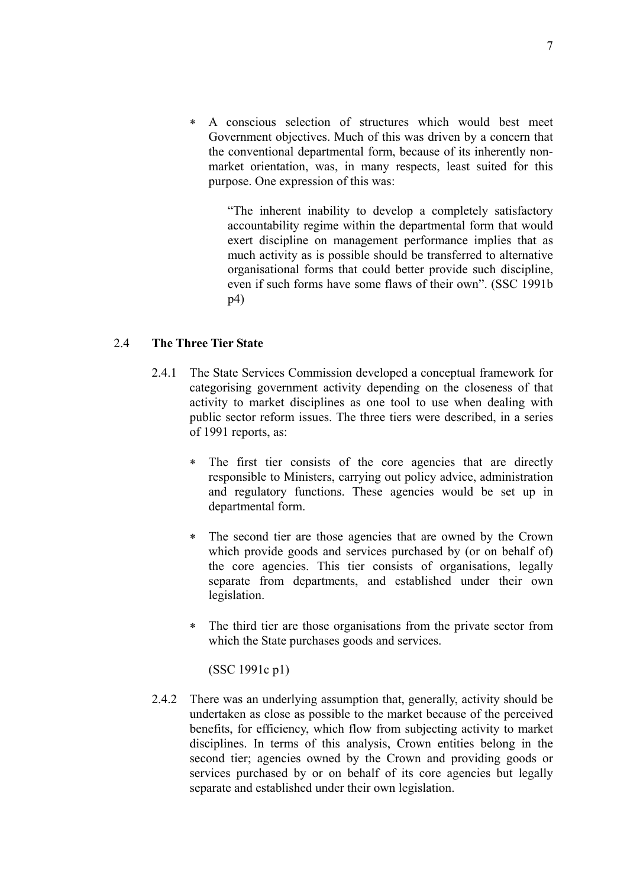∗ A conscious selection of structures which would best meet Government objectives. Much of this was driven by a concern that the conventional departmental form, because of its inherently nonmarket orientation, was, in many respects, least suited for this purpose. One expression of this was:

"The inherent inability to develop a completely satisfactory accountability regime within the departmental form that would exert discipline on management performance implies that as much activity as is possible should be transferred to alternative organisational forms that could better provide such discipline, even if such forms have some flaws of their own". (SSC 1991b p4)

#### 2.4 **The Three Tier State**

- 2.4.1 The State Services Commission developed a conceptual framework for categorising government activity depending on the closeness of that activity to market disciplines as one tool to use when dealing with public sector reform issues. The three tiers were described, in a series of 1991 reports, as:
	- ∗ The first tier consists of the core agencies that are directly responsible to Ministers, carrying out policy advice, administration and regulatory functions. These agencies would be set up in departmental form.
	- ∗ The second tier are those agencies that are owned by the Crown which provide goods and services purchased by (or on behalf of) the core agencies. This tier consists of organisations, legally separate from departments, and established under their own legislation.
	- ∗ The third tier are those organisations from the private sector from which the State purchases goods and services.

(SSC 1991c p1)

2.4.2 There was an underlying assumption that, generally, activity should be undertaken as close as possible to the market because of the perceived benefits, for efficiency, which flow from subjecting activity to market disciplines. In terms of this analysis, Crown entities belong in the second tier; agencies owned by the Crown and providing goods or services purchased by or on behalf of its core agencies but legally separate and established under their own legislation.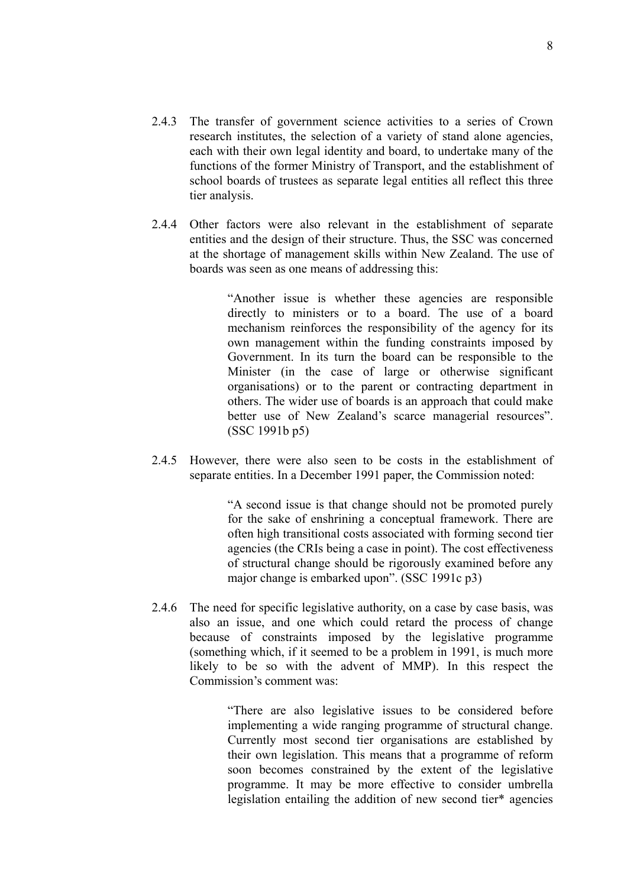- 2.4.3 The transfer of government science activities to a series of Crown research institutes, the selection of a variety of stand alone agencies, each with their own legal identity and board, to undertake many of the functions of the former Ministry of Transport, and the establishment of school boards of trustees as separate legal entities all reflect this three tier analysis.
- 2.4.4 Other factors were also relevant in the establishment of separate entities and the design of their structure. Thus, the SSC was concerned at the shortage of management skills within New Zealand. The use of boards was seen as one means of addressing this:

"Another issue is whether these agencies are responsible directly to ministers or to a board. The use of a board mechanism reinforces the responsibility of the agency for its own management within the funding constraints imposed by Government. In its turn the board can be responsible to the Minister (in the case of large or otherwise significant organisations) or to the parent or contracting department in others. The wider use of boards is an approach that could make better use of New Zealand's scarce managerial resources". (SSC 1991b p5)

2.4.5 However, there were also seen to be costs in the establishment of separate entities. In a December 1991 paper, the Commission noted:

> "A second issue is that change should not be promoted purely for the sake of enshrining a conceptual framework. There are often high transitional costs associated with forming second tier agencies (the CRIs being a case in point). The cost effectiveness of structural change should be rigorously examined before any major change is embarked upon". (SSC 1991c p3)

2.4.6 The need for specific legislative authority, on a case by case basis, was also an issue, and one which could retard the process of change because of constraints imposed by the legislative programme (something which, if it seemed to be a problem in 1991, is much more likely to be so with the advent of MMP). In this respect the Commission's comment was:

> "There are also legislative issues to be considered before implementing a wide ranging programme of structural change. Currently most second tier organisations are established by their own legislation. This means that a programme of reform soon becomes constrained by the extent of the legislative programme. It may be more effective to consider umbrella legislation entailing the addition of new second tier\* agencies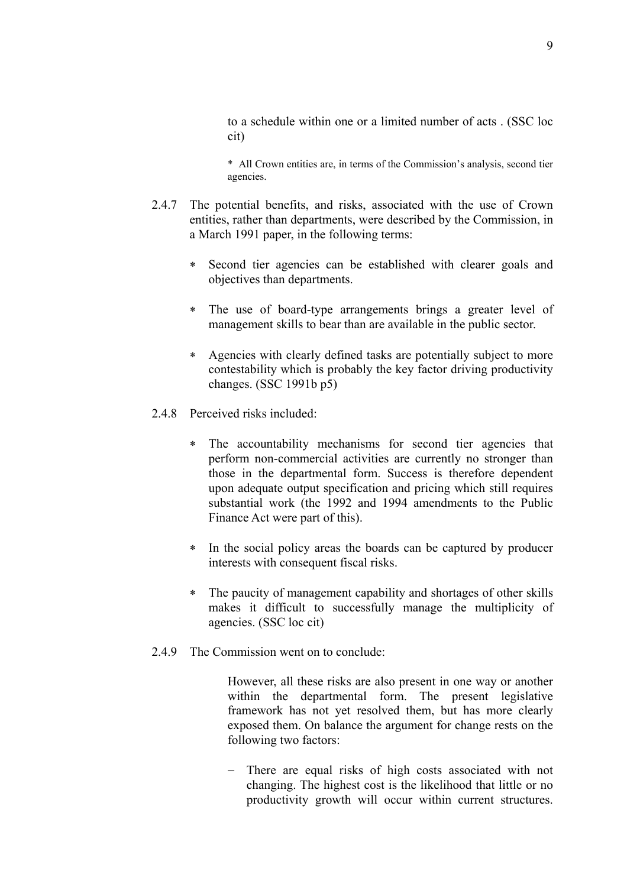to a schedule within one or a limited number of acts . (SSC loc cit)

\* All Crown entities are, in terms of the Commission's analysis, second tier agencies.

- 2.4.7 The potential benefits, and risks, associated with the use of Crown entities, rather than departments, were described by the Commission, in a March 1991 paper, in the following terms:
	- ∗ Second tier agencies can be established with clearer goals and objectives than departments.
	- ∗ The use of board-type arrangements brings a greater level of management skills to bear than are available in the public sector.
	- ∗ Agencies with clearly defined tasks are potentially subject to more contestability which is probably the key factor driving productivity changes. (SSC 1991b p5)
- 2.4.8 Perceived risks included:
	- The accountability mechanisms for second tier agencies that perform non-commercial activities are currently no stronger than those in the departmental form. Success is therefore dependent upon adequate output specification and pricing which still requires substantial work (the 1992 and 1994 amendments to the Public Finance Act were part of this).
	- ∗ In the social policy areas the boards can be captured by producer interests with consequent fiscal risks.
	- ∗ The paucity of management capability and shortages of other skills makes it difficult to successfully manage the multiplicity of agencies. (SSC loc cit)
- 2.4.9 The Commission went on to conclude:

However, all these risks are also present in one way or another within the departmental form. The present legislative framework has not yet resolved them, but has more clearly exposed them. On balance the argument for change rests on the following two factors:

− There are equal risks of high costs associated with not changing. The highest cost is the likelihood that little or no productivity growth will occur within current structures.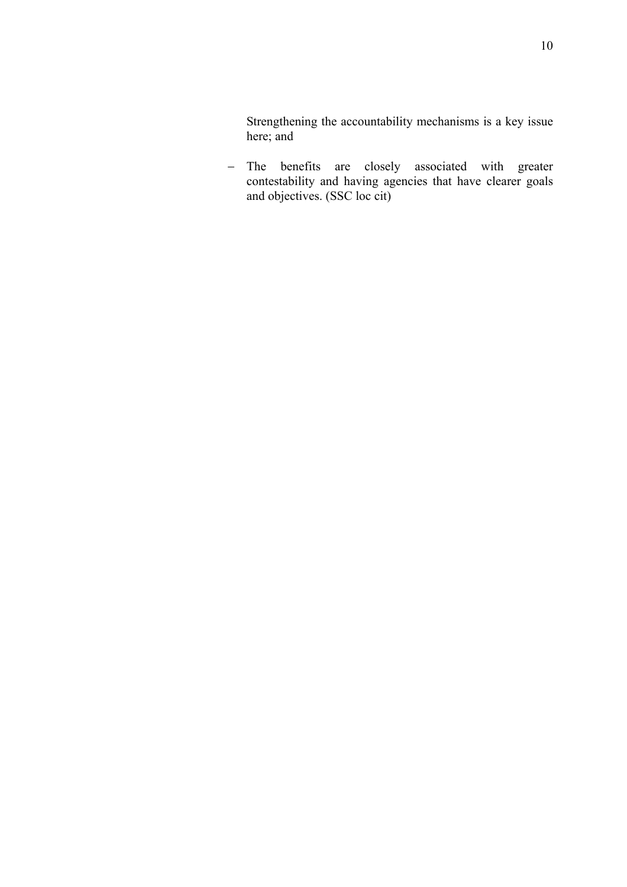Strengthening the accountability mechanisms is a key issue here; and

− The benefits are closely associated with greater contestability and having agencies that have clearer goals and objectives. (SSC loc cit)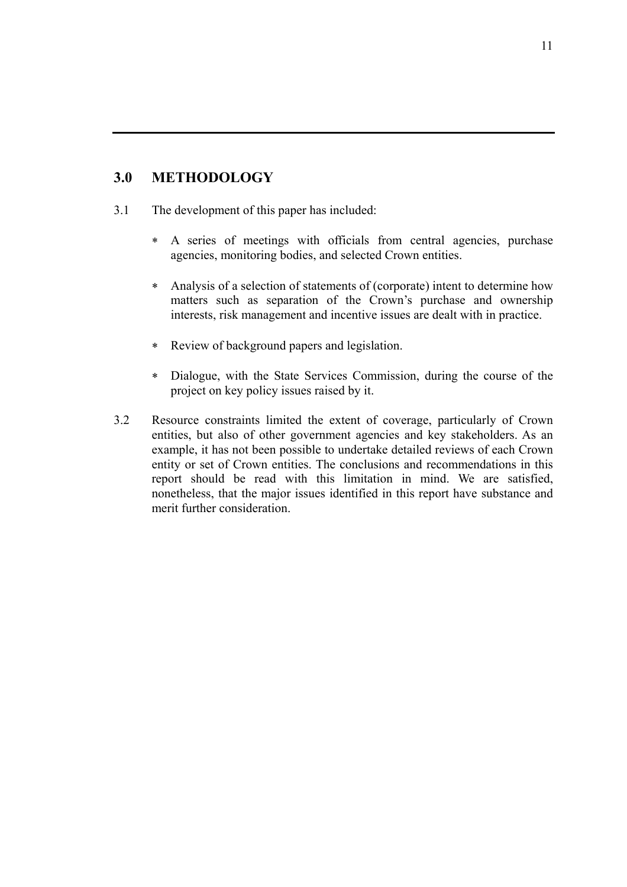### **3.0 METHODOLOGY**

- 3.1 The development of this paper has included:
	- ∗ A series of meetings with officials from central agencies, purchase agencies, monitoring bodies, and selected Crown entities.
	- ∗ Analysis of a selection of statements of (corporate) intent to determine how matters such as separation of the Crown's purchase and ownership interests, risk management and incentive issues are dealt with in practice.
	- ∗ Review of background papers and legislation.
	- ∗ Dialogue, with the State Services Commission, during the course of the project on key policy issues raised by it.
- 3.2 Resource constraints limited the extent of coverage, particularly of Crown entities, but also of other government agencies and key stakeholders. As an example, it has not been possible to undertake detailed reviews of each Crown entity or set of Crown entities. The conclusions and recommendations in this report should be read with this limitation in mind. We are satisfied, nonetheless, that the major issues identified in this report have substance and merit further consideration.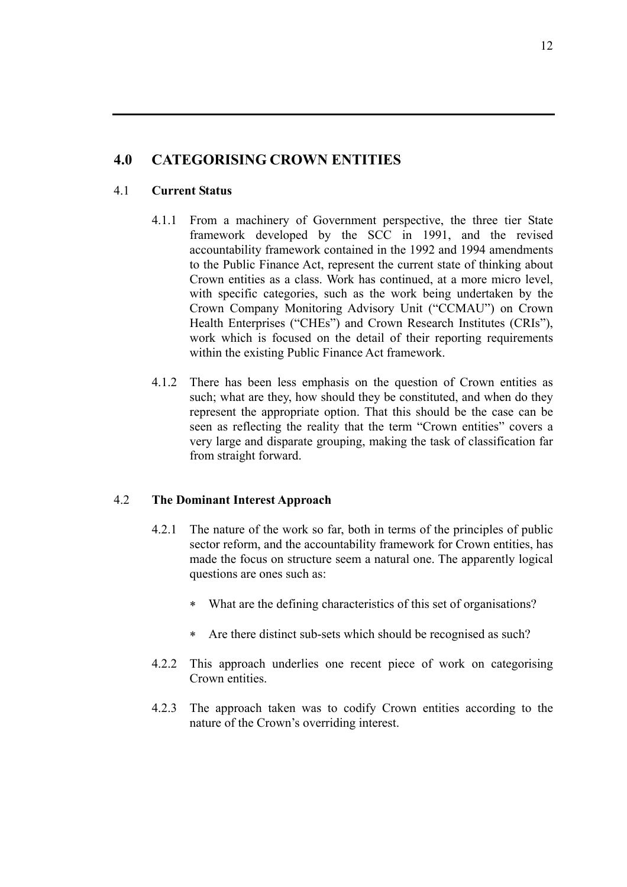## **4.0 CATEGORISING CROWN ENTITIES**

#### 4.1 **Current Status**

- 4.1.1 From a machinery of Government perspective, the three tier State framework developed by the SCC in 1991, and the revised accountability framework contained in the 1992 and 1994 amendments to the Public Finance Act, represent the current state of thinking about Crown entities as a class. Work has continued, at a more micro level, with specific categories, such as the work being undertaken by the Crown Company Monitoring Advisory Unit ("CCMAU") on Crown Health Enterprises ("CHEs") and Crown Research Institutes (CRIs"), work which is focused on the detail of their reporting requirements within the existing Public Finance Act framework.
- 4.1.2 There has been less emphasis on the question of Crown entities as such; what are they, how should they be constituted, and when do they represent the appropriate option. That this should be the case can be seen as reflecting the reality that the term "Crown entities" covers a very large and disparate grouping, making the task of classification far from straight forward.

#### 4.2 **The Dominant Interest Approach**

- 4.2.1 The nature of the work so far, both in terms of the principles of public sector reform, and the accountability framework for Crown entities, has made the focus on structure seem a natural one. The apparently logical questions are ones such as:
	- ∗ What are the defining characteristics of this set of organisations?
	- ∗ Are there distinct sub-sets which should be recognised as such?
- 4.2.2 This approach underlies one recent piece of work on categorising Crown entities.
- 4.2.3 The approach taken was to codify Crown entities according to the nature of the Crown's overriding interest.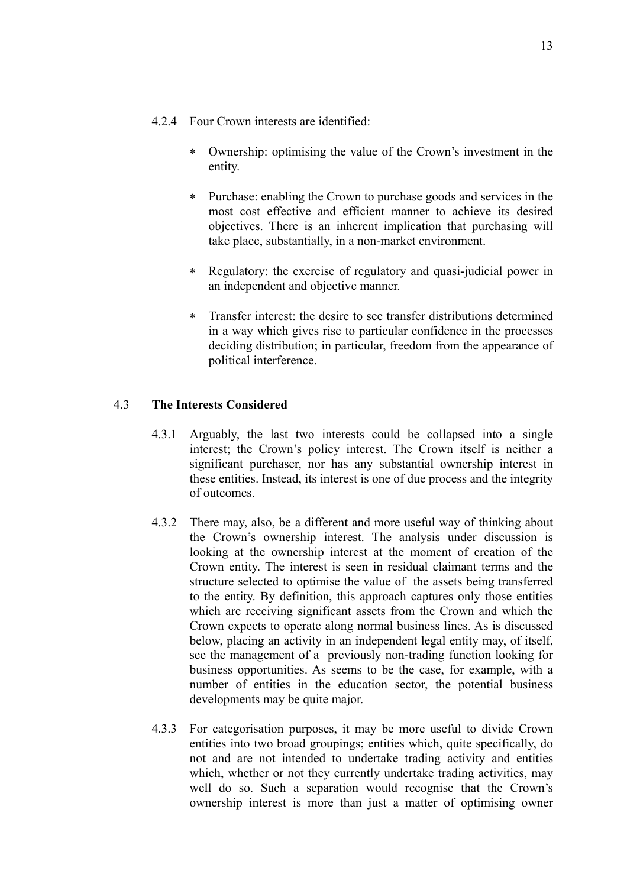- 4.2.4 Four Crown interests are identified:
	- ∗ Ownership: optimising the value of the Crown's investment in the entity.
	- ∗ Purchase: enabling the Crown to purchase goods and services in the most cost effective and efficient manner to achieve its desired objectives. There is an inherent implication that purchasing will take place, substantially, in a non-market environment.
	- ∗ Regulatory: the exercise of regulatory and quasi-judicial power in an independent and objective manner.
	- Transfer interest: the desire to see transfer distributions determined in a way which gives rise to particular confidence in the processes deciding distribution; in particular, freedom from the appearance of political interference.

#### 4.3 **The Interests Considered**

- 4.3.1 Arguably, the last two interests could be collapsed into a single interest; the Crown's policy interest. The Crown itself is neither a significant purchaser, nor has any substantial ownership interest in these entities. Instead, its interest is one of due process and the integrity of outcomes.
- 4.3.2 There may, also, be a different and more useful way of thinking about the Crown's ownership interest. The analysis under discussion is looking at the ownership interest at the moment of creation of the Crown entity. The interest is seen in residual claimant terms and the structure selected to optimise the value of the assets being transferred to the entity. By definition, this approach captures only those entities which are receiving significant assets from the Crown and which the Crown expects to operate along normal business lines. As is discussed below, placing an activity in an independent legal entity may, of itself, see the management of a previously non-trading function looking for business opportunities. As seems to be the case, for example, with a number of entities in the education sector, the potential business developments may be quite major.
- 4.3.3 For categorisation purposes, it may be more useful to divide Crown entities into two broad groupings; entities which, quite specifically, do not and are not intended to undertake trading activity and entities which, whether or not they currently undertake trading activities, may well do so. Such a separation would recognise that the Crown's ownership interest is more than just a matter of optimising owner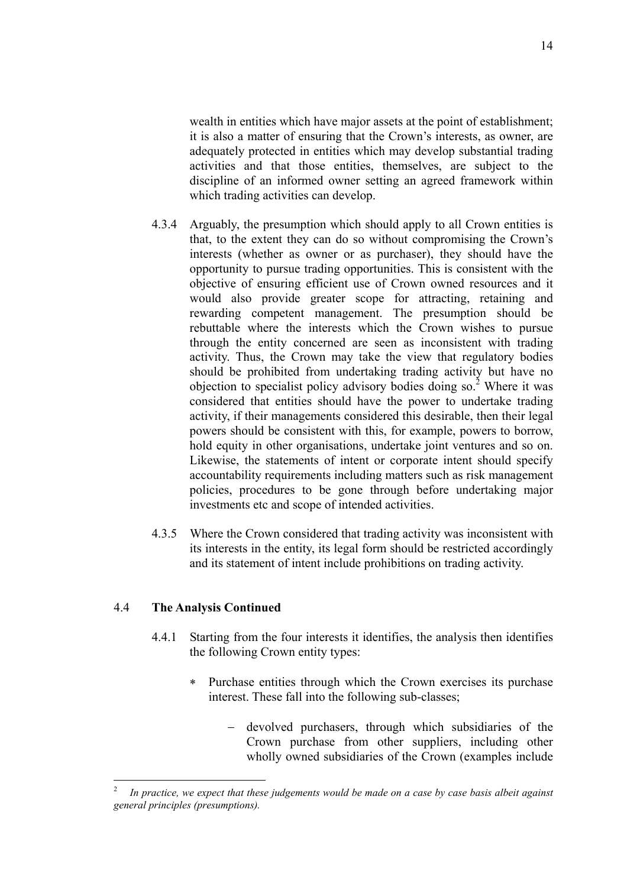wealth in entities which have major assets at the point of establishment; it is also a matter of ensuring that the Crown's interests, as owner, are adequately protected in entities which may develop substantial trading activities and that those entities, themselves, are subject to the discipline of an informed owner setting an agreed framework within which trading activities can develop.

- 4.3.4 Arguably, the presumption which should apply to all Crown entities is that, to the extent they can do so without compromising the Crown's interests (whether as owner or as purchaser), they should have the opportunity to pursue trading opportunities. This is consistent with the objective of ensuring efficient use of Crown owned resources and it would also provide greater scope for attracting, retaining and rewarding competent management. The presumption should be rebuttable where the interests which the Crown wishes to pursue through the entity concerned are seen as inconsistent with trading activity. Thus, the Crown may take the view that regulatory bodies should be prohibited from undertaking trading activity but have no objection to specialist policy advisory bodies doing so. $2$  Where it was considered that entities should have the power to undertake trading activity, if their managements considered this desirable, then their legal powers should be consistent with this, for example, powers to borrow, hold equity in other organisations, undertake joint ventures and so on. Likewise, the statements of intent or corporate intent should specify accountability requirements including matters such as risk management policies, procedures to be gone through before undertaking major investments etc and scope of intended activities.
- 4.3.5 Where the Crown considered that trading activity was inconsistent with its interests in the entity, its legal form should be restricted accordingly and its statement of intent include prohibitions on trading activity.

#### 4.4 **The Analysis Continued**

 $\overline{a}$ 

- 4.4.1 Starting from the four interests it identifies, the analysis then identifies the following Crown entity types:
	- ∗ Purchase entities through which the Crown exercises its purchase interest. These fall into the following sub-classes;
		- − devolved purchasers, through which subsidiaries of the Crown purchase from other suppliers, including other wholly owned subsidiaries of the Crown (examples include

<sup>2</sup> *In practice, we expect that these judgements would be made on a case by case basis albeit against general principles (presumptions).*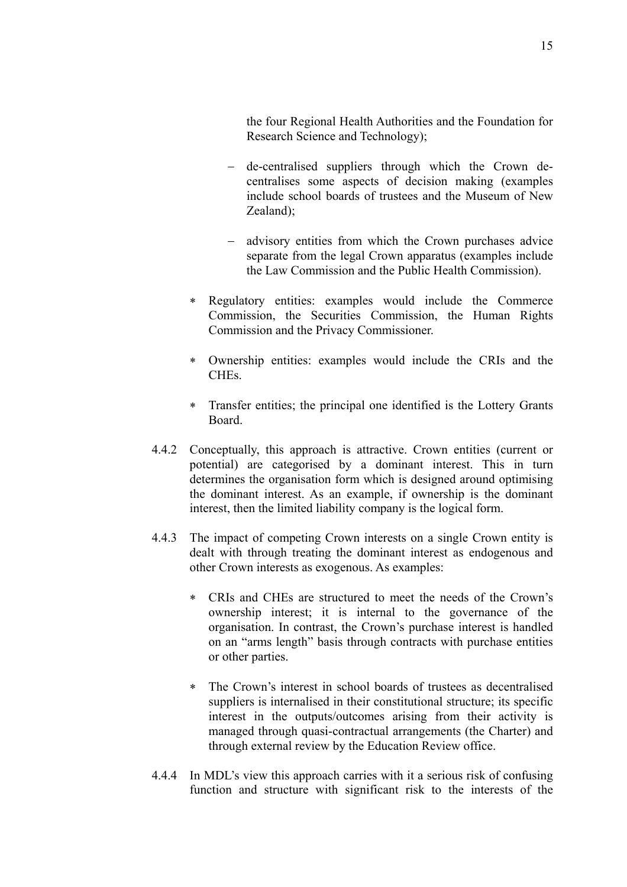the four Regional Health Authorities and the Foundation for Research Science and Technology);

- − de-centralised suppliers through which the Crown decentralises some aspects of decision making (examples include school boards of trustees and the Museum of New Zealand);
- − advisory entities from which the Crown purchases advice separate from the legal Crown apparatus (examples include the Law Commission and the Public Health Commission).
- ∗ Regulatory entities: examples would include the Commerce Commission, the Securities Commission, the Human Rights Commission and the Privacy Commissioner.
- ∗ Ownership entities: examples would include the CRIs and the CHEs.
- ∗ Transfer entities; the principal one identified is the Lottery Grants Board.
- 4.4.2 Conceptually, this approach is attractive. Crown entities (current or potential) are categorised by a dominant interest. This in turn determines the organisation form which is designed around optimising the dominant interest. As an example, if ownership is the dominant interest, then the limited liability company is the logical form.
- 4.4.3 The impact of competing Crown interests on a single Crown entity is dealt with through treating the dominant interest as endogenous and other Crown interests as exogenous. As examples:
	- ∗ CRIs and CHEs are structured to meet the needs of the Crown's ownership interest; it is internal to the governance of the organisation. In contrast, the Crown's purchase interest is handled on an "arms length" basis through contracts with purchase entities or other parties.
	- ∗ The Crown's interest in school boards of trustees as decentralised suppliers is internalised in their constitutional structure; its specific interest in the outputs/outcomes arising from their activity is managed through quasi-contractual arrangements (the Charter) and through external review by the Education Review office.
- 4.4.4 In MDL's view this approach carries with it a serious risk of confusing function and structure with significant risk to the interests of the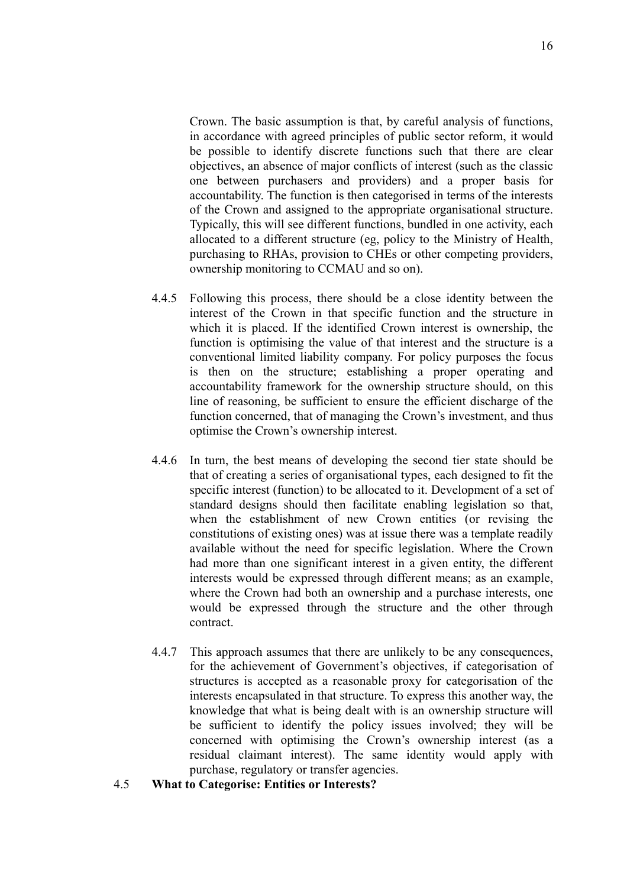Crown. The basic assumption is that, by careful analysis of functions, in accordance with agreed principles of public sector reform, it would be possible to identify discrete functions such that there are clear objectives, an absence of major conflicts of interest (such as the classic one between purchasers and providers) and a proper basis for accountability. The function is then categorised in terms of the interests of the Crown and assigned to the appropriate organisational structure. Typically, this will see different functions, bundled in one activity, each allocated to a different structure (eg, policy to the Ministry of Health, purchasing to RHAs, provision to CHEs or other competing providers, ownership monitoring to CCMAU and so on).

- 4.4.5 Following this process, there should be a close identity between the interest of the Crown in that specific function and the structure in which it is placed. If the identified Crown interest is ownership, the function is optimising the value of that interest and the structure is a conventional limited liability company. For policy purposes the focus is then on the structure; establishing a proper operating and accountability framework for the ownership structure should, on this line of reasoning, be sufficient to ensure the efficient discharge of the function concerned, that of managing the Crown's investment, and thus optimise the Crown's ownership interest.
- 4.4.6 In turn, the best means of developing the second tier state should be that of creating a series of organisational types, each designed to fit the specific interest (function) to be allocated to it. Development of a set of standard designs should then facilitate enabling legislation so that, when the establishment of new Crown entities (or revising the constitutions of existing ones) was at issue there was a template readily available without the need for specific legislation. Where the Crown had more than one significant interest in a given entity, the different interests would be expressed through different means; as an example, where the Crown had both an ownership and a purchase interests, one would be expressed through the structure and the other through contract.
- 4.4.7 This approach assumes that there are unlikely to be any consequences, for the achievement of Government's objectives, if categorisation of structures is accepted as a reasonable proxy for categorisation of the interests encapsulated in that structure. To express this another way, the knowledge that what is being dealt with is an ownership structure will be sufficient to identify the policy issues involved; they will be concerned with optimising the Crown's ownership interest (as a residual claimant interest). The same identity would apply with purchase, regulatory or transfer agencies.
- 4.5 **What to Categorise: Entities or Interests?**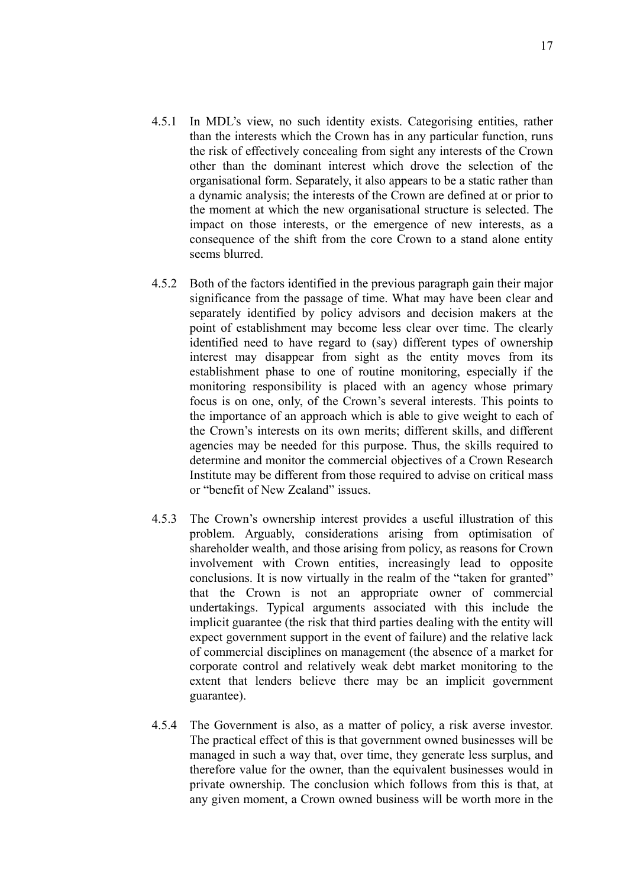- 4.5.1 In MDL's view, no such identity exists. Categorising entities, rather than the interests which the Crown has in any particular function, runs the risk of effectively concealing from sight any interests of the Crown other than the dominant interest which drove the selection of the organisational form. Separately, it also appears to be a static rather than a dynamic analysis; the interests of the Crown are defined at or prior to the moment at which the new organisational structure is selected. The impact on those interests, or the emergence of new interests, as a consequence of the shift from the core Crown to a stand alone entity seems blurred.
- 4.5.2 Both of the factors identified in the previous paragraph gain their major significance from the passage of time. What may have been clear and separately identified by policy advisors and decision makers at the point of establishment may become less clear over time. The clearly identified need to have regard to (say) different types of ownership interest may disappear from sight as the entity moves from its establishment phase to one of routine monitoring, especially if the monitoring responsibility is placed with an agency whose primary focus is on one, only, of the Crown's several interests. This points to the importance of an approach which is able to give weight to each of the Crown's interests on its own merits; different skills, and different agencies may be needed for this purpose. Thus, the skills required to determine and monitor the commercial objectives of a Crown Research Institute may be different from those required to advise on critical mass or "benefit of New Zealand" issues.
- 4.5.3 The Crown's ownership interest provides a useful illustration of this problem. Arguably, considerations arising from optimisation of shareholder wealth, and those arising from policy, as reasons for Crown involvement with Crown entities, increasingly lead to opposite conclusions. It is now virtually in the realm of the "taken for granted" that the Crown is not an appropriate owner of commercial undertakings. Typical arguments associated with this include the implicit guarantee (the risk that third parties dealing with the entity will expect government support in the event of failure) and the relative lack of commercial disciplines on management (the absence of a market for corporate control and relatively weak debt market monitoring to the extent that lenders believe there may be an implicit government guarantee).
- 4.5.4 The Government is also, as a matter of policy, a risk averse investor. The practical effect of this is that government owned businesses will be managed in such a way that, over time, they generate less surplus, and therefore value for the owner, than the equivalent businesses would in private ownership. The conclusion which follows from this is that, at any given moment, a Crown owned business will be worth more in the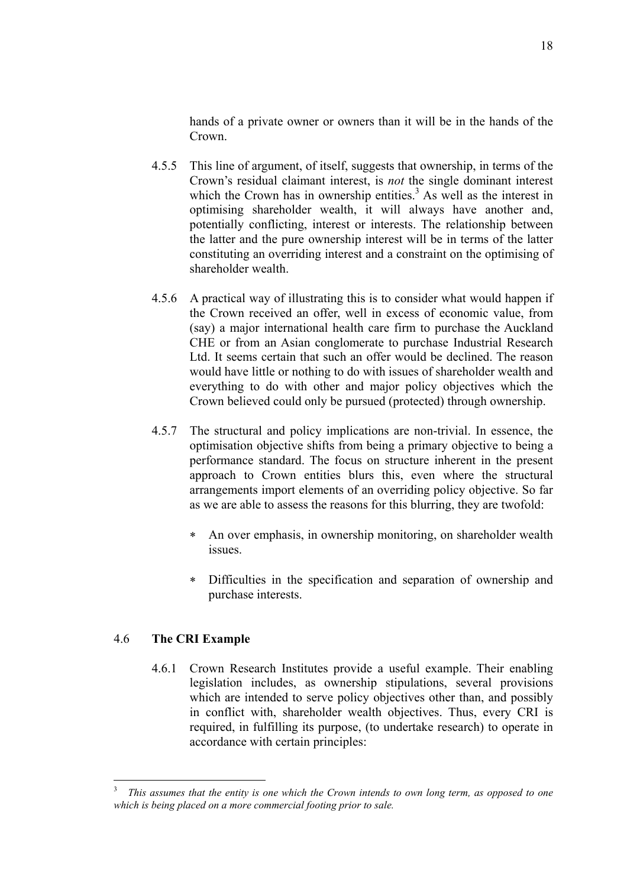hands of a private owner or owners than it will be in the hands of the Crown.

- 4.5.5 This line of argument, of itself, suggests that ownership, in terms of the Crown's residual claimant interest, is *not* the single dominant interest which the Crown has in ownership entities.<sup>3</sup> As well as the interest in optimising shareholder wealth, it will always have another and, potentially conflicting, interest or interests. The relationship between the latter and the pure ownership interest will be in terms of the latter constituting an overriding interest and a constraint on the optimising of shareholder wealth.
- 4.5.6 A practical way of illustrating this is to consider what would happen if the Crown received an offer, well in excess of economic value, from (say) a major international health care firm to purchase the Auckland CHE or from an Asian conglomerate to purchase Industrial Research Ltd. It seems certain that such an offer would be declined. The reason would have little or nothing to do with issues of shareholder wealth and everything to do with other and major policy objectives which the Crown believed could only be pursued (protected) through ownership.
- 4.5.7 The structural and policy implications are non-trivial. In essence, the optimisation objective shifts from being a primary objective to being a performance standard. The focus on structure inherent in the present approach to Crown entities blurs this, even where the structural arrangements import elements of an overriding policy objective. So far as we are able to assess the reasons for this blurring, they are twofold:
	- ∗ An over emphasis, in ownership monitoring, on shareholder wealth issues.
	- Difficulties in the specification and separation of ownership and purchase interests.

#### 4.6 **The CRI Example**

 $\overline{a}$ 

4.6.1 Crown Research Institutes provide a useful example. Their enabling legislation includes, as ownership stipulations, several provisions which are intended to serve policy objectives other than, and possibly in conflict with, shareholder wealth objectives. Thus, every CRI is required, in fulfilling its purpose, (to undertake research) to operate in accordance with certain principles:

<sup>3</sup> *This assumes that the entity is one which the Crown intends to own long term, as opposed to one which is being placed on a more commercial footing prior to sale.*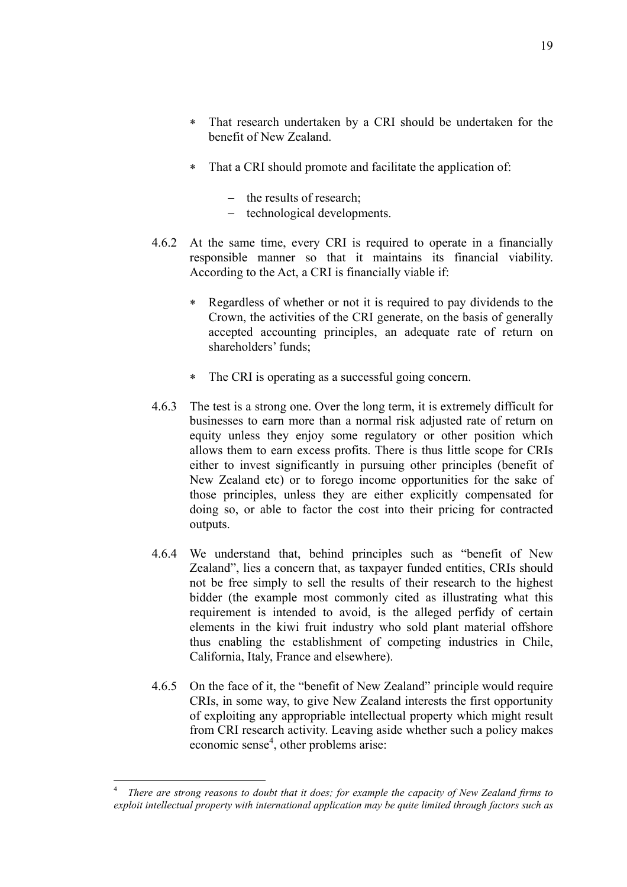- ∗ That research undertaken by a CRI should be undertaken for the benefit of New Zealand.
- ∗ That a CRI should promote and facilitate the application of:
	- − the results of research;
	- − technological developments.
- 4.6.2 At the same time, every CRI is required to operate in a financially responsible manner so that it maintains its financial viability. According to the Act, a CRI is financially viable if:
	- ∗ Regardless of whether or not it is required to pay dividends to the Crown, the activities of the CRI generate, on the basis of generally accepted accounting principles, an adequate rate of return on shareholders' funds;
	- ∗ The CRI is operating as a successful going concern.
- 4.6.3 The test is a strong one. Over the long term, it is extremely difficult for businesses to earn more than a normal risk adjusted rate of return on equity unless they enjoy some regulatory or other position which allows them to earn excess profits. There is thus little scope for CRIs either to invest significantly in pursuing other principles (benefit of New Zealand etc) or to forego income opportunities for the sake of those principles, unless they are either explicitly compensated for doing so, or able to factor the cost into their pricing for contracted outputs.
- 4.6.4 We understand that, behind principles such as "benefit of New Zealand", lies a concern that, as taxpayer funded entities, CRIs should not be free simply to sell the results of their research to the highest bidder (the example most commonly cited as illustrating what this requirement is intended to avoid, is the alleged perfidy of certain elements in the kiwi fruit industry who sold plant material offshore thus enabling the establishment of competing industries in Chile, California, Italy, France and elsewhere).
- 4.6.5 On the face of it, the "benefit of New Zealand" principle would require CRIs, in some way, to give New Zealand interests the first opportunity of exploiting any appropriable intellectual property which might result from CRI research activity. Leaving aside whether such a policy makes economic sense<sup>4</sup>, other problems arise:

 $\overline{a}$ <sup>4</sup> *There are strong reasons to doubt that it does; for example the capacity of New Zealand firms to exploit intellectual property with international application may be quite limited through factors such as*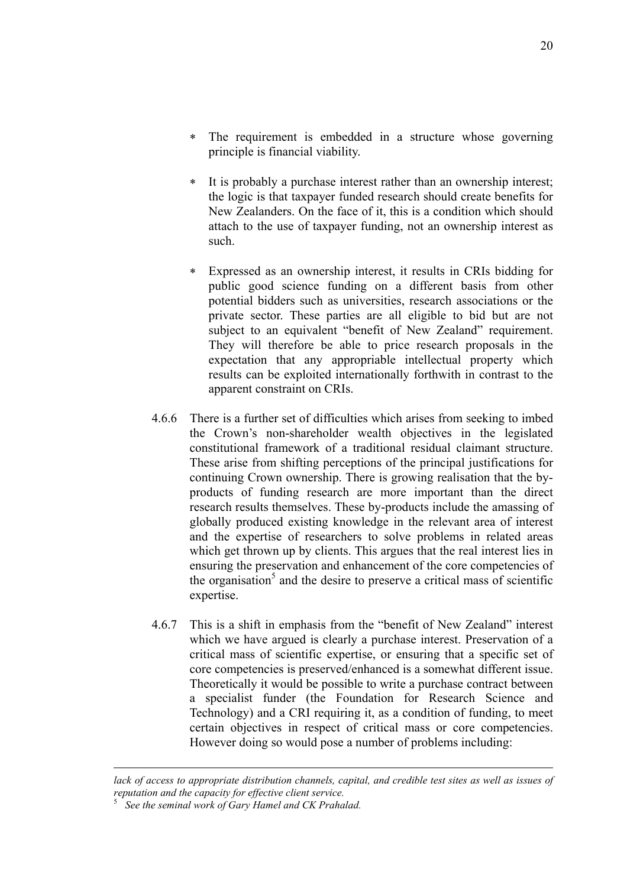- ∗ The requirement is embedded in a structure whose governing principle is financial viability.
- ∗ It is probably a purchase interest rather than an ownership interest; the logic is that taxpayer funded research should create benefits for New Zealanders. On the face of it, this is a condition which should attach to the use of taxpayer funding, not an ownership interest as such.
- ∗ Expressed as an ownership interest, it results in CRIs bidding for public good science funding on a different basis from other potential bidders such as universities, research associations or the private sector. These parties are all eligible to bid but are not subject to an equivalent "benefit of New Zealand" requirement. They will therefore be able to price research proposals in the expectation that any appropriable intellectual property which results can be exploited internationally forthwith in contrast to the apparent constraint on CRIs.
- 4.6.6 There is a further set of difficulties which arises from seeking to imbed the Crown's non-shareholder wealth objectives in the legislated constitutional framework of a traditional residual claimant structure. These arise from shifting perceptions of the principal justifications for continuing Crown ownership. There is growing realisation that the byproducts of funding research are more important than the direct research results themselves. These by-products include the amassing of globally produced existing knowledge in the relevant area of interest and the expertise of researchers to solve problems in related areas which get thrown up by clients. This argues that the real interest lies in ensuring the preservation and enhancement of the core competencies of the organisation<sup>5</sup> and the desire to preserve a critical mass of scientific expertise.
- 4.6.7 This is a shift in emphasis from the "benefit of New Zealand" interest which we have argued is clearly a purchase interest. Preservation of a critical mass of scientific expertise, or ensuring that a specific set of core competencies is preserved/enhanced is a somewhat different issue. Theoretically it would be possible to write a purchase contract between a specialist funder (the Foundation for Research Science and Technology) and a CRI requiring it, as a condition of funding, to meet certain objectives in respect of critical mass or core competencies. However doing so would pose a number of problems including:

*lack of access to appropriate distribution channels, capital, and credible test sites as well as issues of reputation and the capacity for effective client service.*

 $\overline{a}$ 

<sup>5</sup> *See the seminal work of Gary Hamel and CK Prahalad.*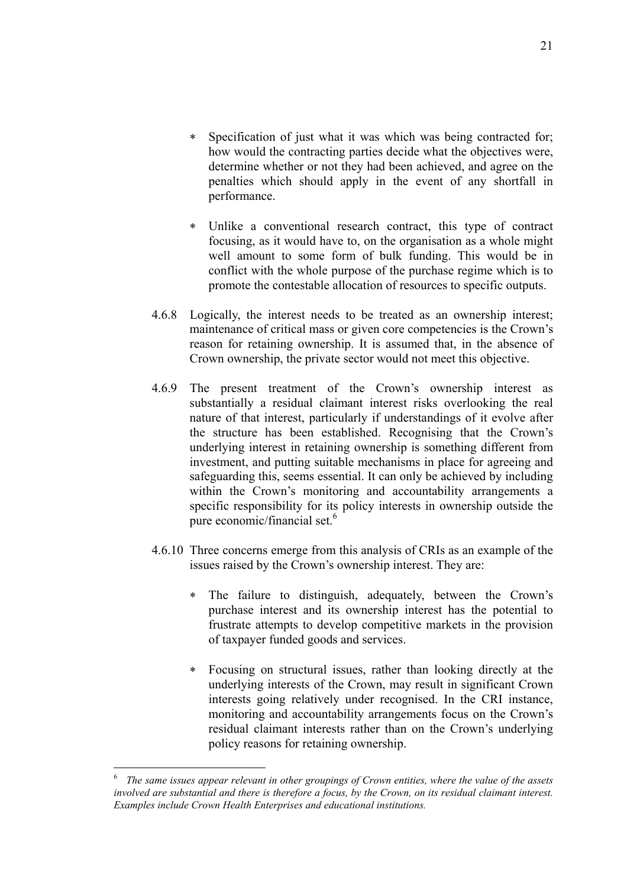- ∗ Specification of just what it was which was being contracted for; how would the contracting parties decide what the objectives were, determine whether or not they had been achieved, and agree on the penalties which should apply in the event of any shortfall in performance.
- ∗ Unlike a conventional research contract, this type of contract focusing, as it would have to, on the organisation as a whole might well amount to some form of bulk funding. This would be in conflict with the whole purpose of the purchase regime which is to promote the contestable allocation of resources to specific outputs.
- 4.6.8 Logically, the interest needs to be treated as an ownership interest; maintenance of critical mass or given core competencies is the Crown's reason for retaining ownership. It is assumed that, in the absence of Crown ownership, the private sector would not meet this objective.
- 4.6.9 The present treatment of the Crown's ownership interest as substantially a residual claimant interest risks overlooking the real nature of that interest, particularly if understandings of it evolve after the structure has been established. Recognising that the Crown's underlying interest in retaining ownership is something different from investment, and putting suitable mechanisms in place for agreeing and safeguarding this, seems essential. It can only be achieved by including within the Crown's monitoring and accountability arrangements a specific responsibility for its policy interests in ownership outside the pure economic/financial set.<sup>6</sup>
- 4.6.10 Three concerns emerge from this analysis of CRIs as an example of the issues raised by the Crown's ownership interest. They are:
	- ∗ The failure to distinguish, adequately, between the Crown's purchase interest and its ownership interest has the potential to frustrate attempts to develop competitive markets in the provision of taxpayer funded goods and services.
	- ∗ Focusing on structural issues, rather than looking directly at the underlying interests of the Crown, may result in significant Crown interests going relatively under recognised. In the CRI instance, monitoring and accountability arrangements focus on the Crown's residual claimant interests rather than on the Crown's underlying policy reasons for retaining ownership.

 $\overline{a}$ 

<sup>6</sup> *The same issues appear relevant in other groupings of Crown entities, where the value of the assets involved are substantial and there is therefore a focus, by the Crown, on its residual claimant interest. Examples include Crown Health Enterprises and educational institutions.*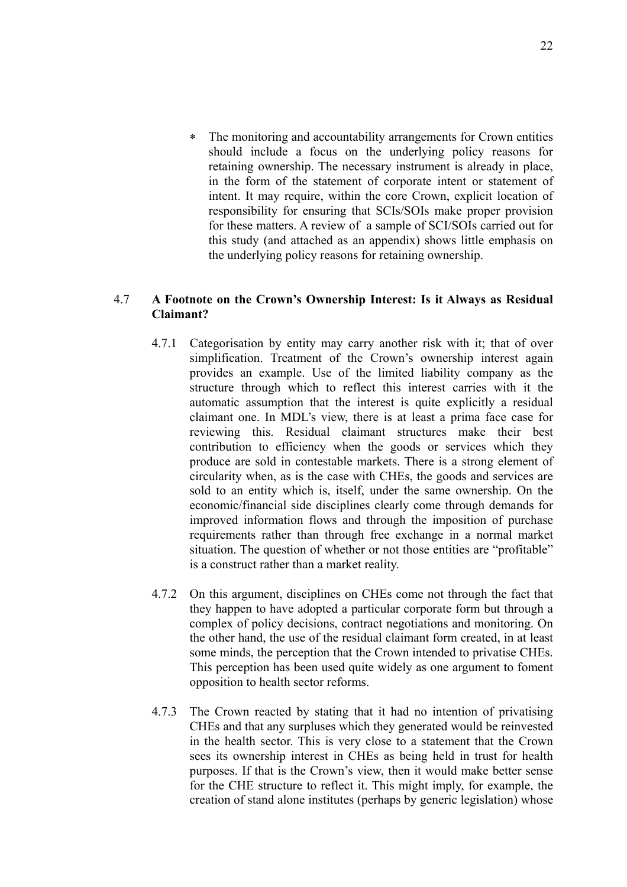∗ The monitoring and accountability arrangements for Crown entities should include a focus on the underlying policy reasons for retaining ownership. The necessary instrument is already in place, in the form of the statement of corporate intent or statement of intent. It may require, within the core Crown, explicit location of responsibility for ensuring that SCIs/SOIs make proper provision for these matters. A review of a sample of SCI/SOIs carried out for this study (and attached as an appendix) shows little emphasis on the underlying policy reasons for retaining ownership.

#### 4.7 **A Footnote on the Crown's Ownership Interest: Is it Always as Residual Claimant?**

- 4.7.1 Categorisation by entity may carry another risk with it; that of over simplification. Treatment of the Crown's ownership interest again provides an example. Use of the limited liability company as the structure through which to reflect this interest carries with it the automatic assumption that the interest is quite explicitly a residual claimant one. In MDL's view, there is at least a prima face case for reviewing this. Residual claimant structures make their best contribution to efficiency when the goods or services which they produce are sold in contestable markets. There is a strong element of circularity when, as is the case with CHEs, the goods and services are sold to an entity which is, itself, under the same ownership. On the economic/financial side disciplines clearly come through demands for improved information flows and through the imposition of purchase requirements rather than through free exchange in a normal market situation. The question of whether or not those entities are "profitable" is a construct rather than a market reality.
- 4.7.2 On this argument, disciplines on CHEs come not through the fact that they happen to have adopted a particular corporate form but through a complex of policy decisions, contract negotiations and monitoring. On the other hand, the use of the residual claimant form created, in at least some minds, the perception that the Crown intended to privatise CHEs. This perception has been used quite widely as one argument to foment opposition to health sector reforms.
- 4.7.3 The Crown reacted by stating that it had no intention of privatising CHEs and that any surpluses which they generated would be reinvested in the health sector. This is very close to a statement that the Crown sees its ownership interest in CHEs as being held in trust for health purposes. If that is the Crown's view, then it would make better sense for the CHE structure to reflect it. This might imply, for example, the creation of stand alone institutes (perhaps by generic legislation) whose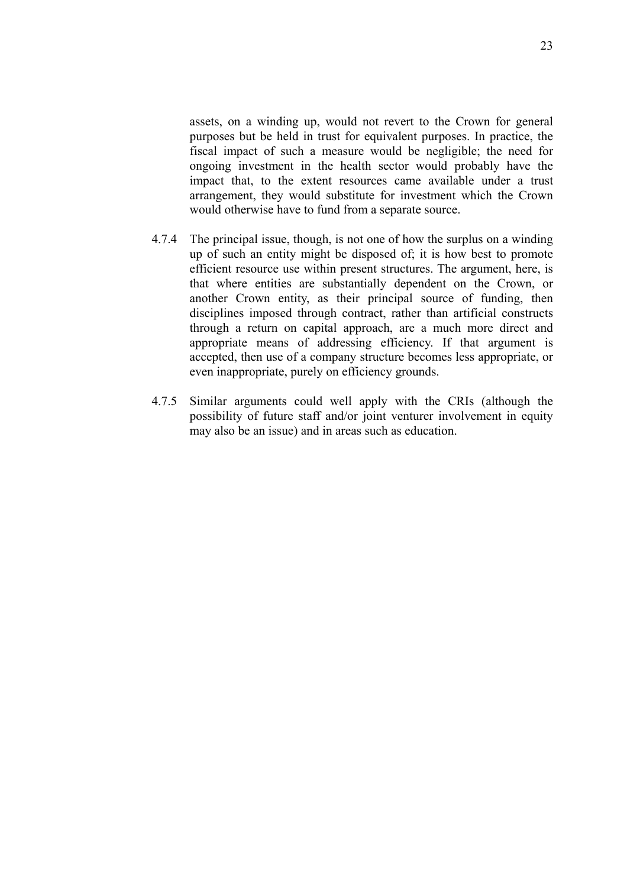assets, on a winding up, would not revert to the Crown for general purposes but be held in trust for equivalent purposes. In practice, the fiscal impact of such a measure would be negligible; the need for ongoing investment in the health sector would probably have the impact that, to the extent resources came available under a trust arrangement, they would substitute for investment which the Crown would otherwise have to fund from a separate source.

- 4.7.4 The principal issue, though, is not one of how the surplus on a winding up of such an entity might be disposed of; it is how best to promote efficient resource use within present structures. The argument, here, is that where entities are substantially dependent on the Crown, or another Crown entity, as their principal source of funding, then disciplines imposed through contract, rather than artificial constructs through a return on capital approach, are a much more direct and appropriate means of addressing efficiency. If that argument is accepted, then use of a company structure becomes less appropriate, or even inappropriate, purely on efficiency grounds.
- 4.7.5 Similar arguments could well apply with the CRIs (although the possibility of future staff and/or joint venturer involvement in equity may also be an issue) and in areas such as education.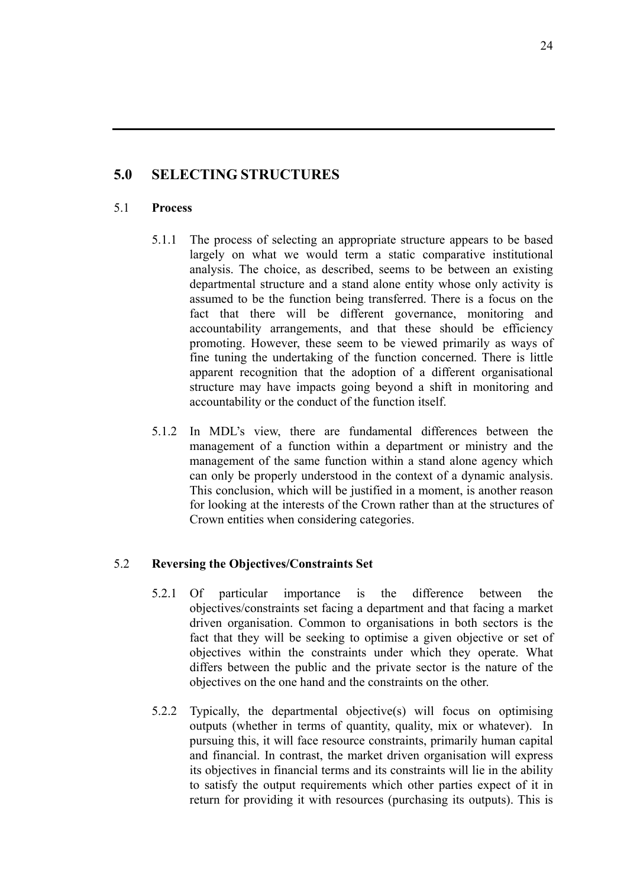### **5.0 SELECTING STRUCTURES**

#### 5.1 **Process**

- 5.1.1 The process of selecting an appropriate structure appears to be based largely on what we would term a static comparative institutional analysis. The choice, as described, seems to be between an existing departmental structure and a stand alone entity whose only activity is assumed to be the function being transferred. There is a focus on the fact that there will be different governance, monitoring and accountability arrangements, and that these should be efficiency promoting. However, these seem to be viewed primarily as ways of fine tuning the undertaking of the function concerned. There is little apparent recognition that the adoption of a different organisational structure may have impacts going beyond a shift in monitoring and accountability or the conduct of the function itself.
- 5.1.2 In MDL's view, there are fundamental differences between the management of a function within a department or ministry and the management of the same function within a stand alone agency which can only be properly understood in the context of a dynamic analysis. This conclusion, which will be justified in a moment, is another reason for looking at the interests of the Crown rather than at the structures of Crown entities when considering categories.

#### 5.2 **Reversing the Objectives/Constraints Set**

- 5.2.1 Of particular importance is the difference between the objectives/constraints set facing a department and that facing a market driven organisation. Common to organisations in both sectors is the fact that they will be seeking to optimise a given objective or set of objectives within the constraints under which they operate. What differs between the public and the private sector is the nature of the objectives on the one hand and the constraints on the other.
- 5.2.2 Typically, the departmental objective(s) will focus on optimising outputs (whether in terms of quantity, quality, mix or whatever). In pursuing this, it will face resource constraints, primarily human capital and financial. In contrast, the market driven organisation will express its objectives in financial terms and its constraints will lie in the ability to satisfy the output requirements which other parties expect of it in return for providing it with resources (purchasing its outputs). This is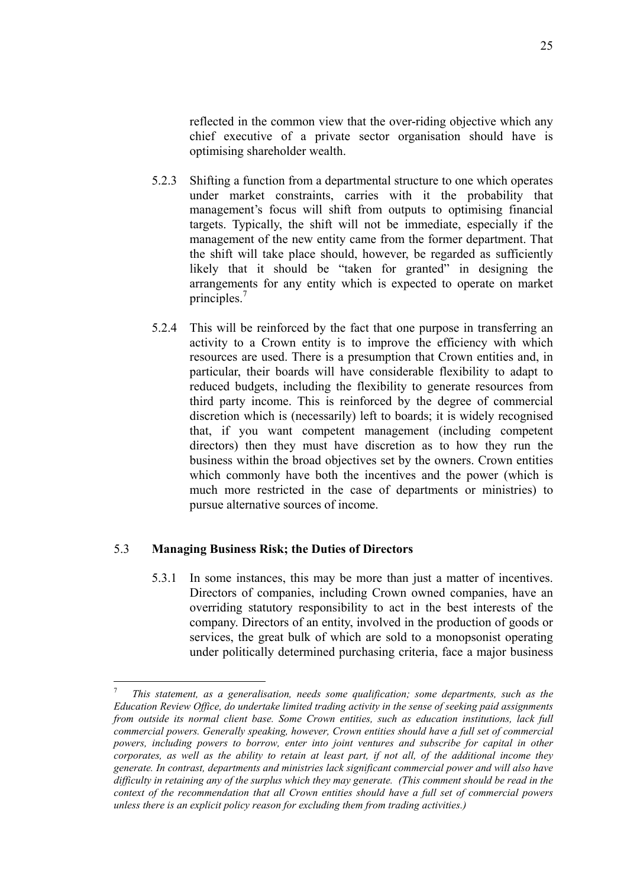reflected in the common view that the over-riding objective which any chief executive of a private sector organisation should have is optimising shareholder wealth.

- 5.2.3 Shifting a function from a departmental structure to one which operates under market constraints, carries with it the probability that management's focus will shift from outputs to optimising financial targets. Typically, the shift will not be immediate, especially if the management of the new entity came from the former department. That the shift will take place should, however, be regarded as sufficiently likely that it should be "taken for granted" in designing the arrangements for any entity which is expected to operate on market principles.7
- 5.2.4 This will be reinforced by the fact that one purpose in transferring an activity to a Crown entity is to improve the efficiency with which resources are used. There is a presumption that Crown entities and, in particular, their boards will have considerable flexibility to adapt to reduced budgets, including the flexibility to generate resources from third party income. This is reinforced by the degree of commercial discretion which is (necessarily) left to boards; it is widely recognised that, if you want competent management (including competent directors) then they must have discretion as to how they run the business within the broad objectives set by the owners. Crown entities which commonly have both the incentives and the power (which is much more restricted in the case of departments or ministries) to pursue alternative sources of income.

#### 5.3 **Managing Business Risk; the Duties of Directors**

 $\overline{a}$ 

5.3.1 In some instances, this may be more than just a matter of incentives. Directors of companies, including Crown owned companies, have an overriding statutory responsibility to act in the best interests of the company. Directors of an entity, involved in the production of goods or services, the great bulk of which are sold to a monopsonist operating under politically determined purchasing criteria, face a major business

<sup>7</sup> *This statement, as a generalisation, needs some qualification; some departments, such as the Education Review Office, do undertake limited trading activity in the sense of seeking paid assignments from outside its normal client base. Some Crown entities, such as education institutions, lack full commercial powers. Generally speaking, however, Crown entities should have a full set of commercial powers, including powers to borrow, enter into joint ventures and subscribe for capital in other corporates, as well as the ability to retain at least part, if not all, of the additional income they generate. In contrast, departments and ministries lack significant commercial power and will also have difficulty in retaining any of the surplus which they may generate. (This comment should be read in the context of the recommendation that all Crown entities should have a full set of commercial powers unless there is an explicit policy reason for excluding them from trading activities.)*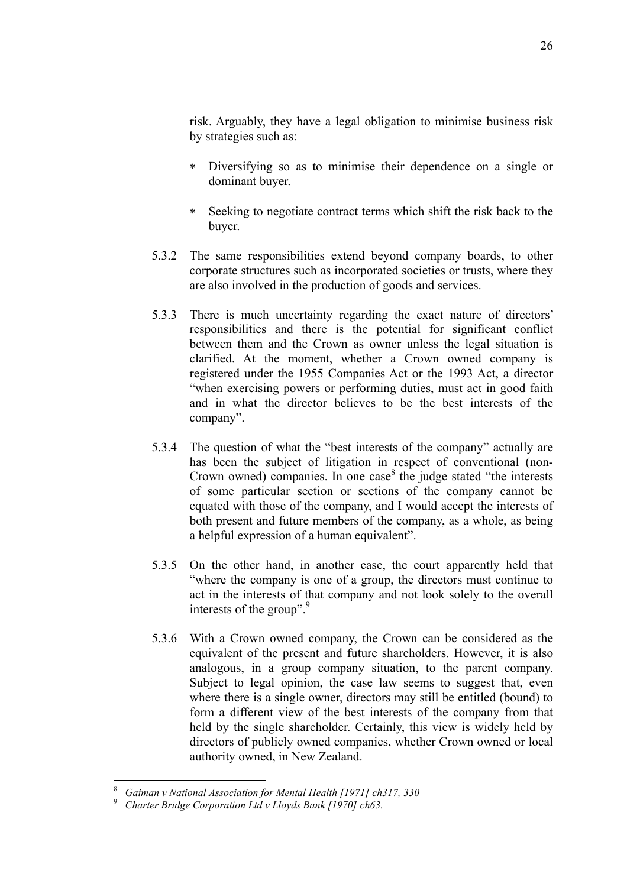risk. Arguably, they have a legal obligation to minimise business risk by strategies such as:

- ∗ Diversifying so as to minimise their dependence on a single or dominant buyer.
- ∗ Seeking to negotiate contract terms which shift the risk back to the buyer.
- 5.3.2 The same responsibilities extend beyond company boards, to other corporate structures such as incorporated societies or trusts, where they are also involved in the production of goods and services.
- 5.3.3 There is much uncertainty regarding the exact nature of directors' responsibilities and there is the potential for significant conflict between them and the Crown as owner unless the legal situation is clarified. At the moment, whether a Crown owned company is registered under the 1955 Companies Act or the 1993 Act, a director "when exercising powers or performing duties, must act in good faith and in what the director believes to be the best interests of the company".
- 5.3.4 The question of what the "best interests of the company" actually are has been the subject of litigation in respect of conventional (non-Crown owned) companies. In one case $8$  the judge stated "the interests of some particular section or sections of the company cannot be equated with those of the company, and I would accept the interests of both present and future members of the company, as a whole, as being a helpful expression of a human equivalent".
- 5.3.5 On the other hand, in another case, the court apparently held that "where the company is one of a group, the directors must continue to act in the interests of that company and not look solely to the overall interests of the group". $\frac{9}{2}$
- 5.3.6 With a Crown owned company, the Crown can be considered as the equivalent of the present and future shareholders. However, it is also analogous, in a group company situation, to the parent company. Subject to legal opinion, the case law seems to suggest that, even where there is a single owner, directors may still be entitled (bound) to form a different view of the best interests of the company from that held by the single shareholder. Certainly, this view is widely held by directors of publicly owned companies, whether Crown owned or local authority owned, in New Zealand.

 $\overline{a}$ 

<sup>8</sup> *Gaiman v National Association for Mental Health [1971] ch317, 330*

<sup>9</sup> *Charter Bridge Corporation Ltd v Lloyds Bank [1970] ch63.*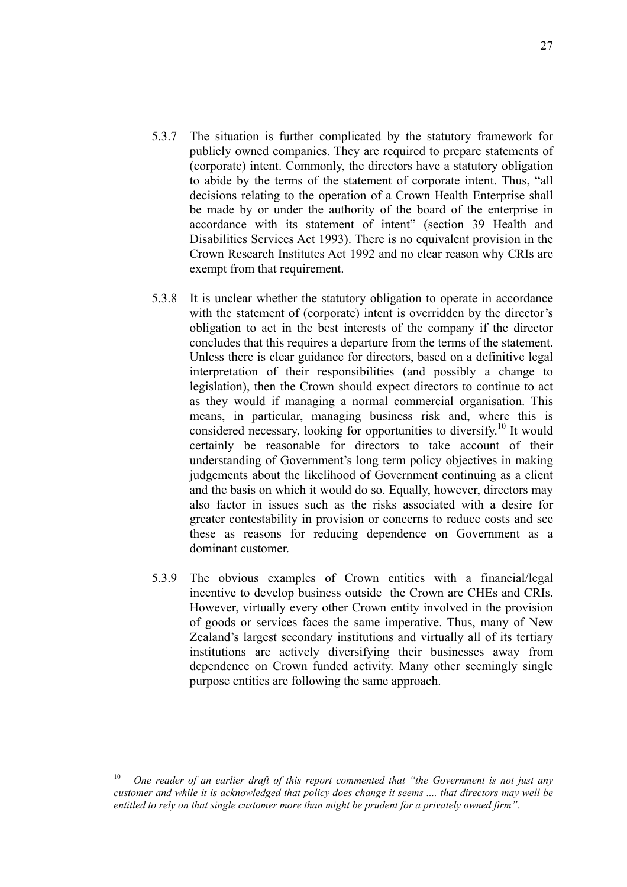- 5.3.7 The situation is further complicated by the statutory framework for publicly owned companies. They are required to prepare statements of (corporate) intent. Commonly, the directors have a statutory obligation to abide by the terms of the statement of corporate intent. Thus, "all decisions relating to the operation of a Crown Health Enterprise shall be made by or under the authority of the board of the enterprise in accordance with its statement of intent" (section 39 Health and Disabilities Services Act 1993). There is no equivalent provision in the Crown Research Institutes Act 1992 and no clear reason why CRIs are exempt from that requirement.
- 5.3.8 It is unclear whether the statutory obligation to operate in accordance with the statement of (corporate) intent is overridden by the director's obligation to act in the best interests of the company if the director concludes that this requires a departure from the terms of the statement. Unless there is clear guidance for directors, based on a definitive legal interpretation of their responsibilities (and possibly a change to legislation), then the Crown should expect directors to continue to act as they would if managing a normal commercial organisation. This means, in particular, managing business risk and, where this is considered necessary, looking for opportunities to diversify.<sup>10</sup> It would certainly be reasonable for directors to take account of their understanding of Government's long term policy objectives in making judgements about the likelihood of Government continuing as a client and the basis on which it would do so. Equally, however, directors may also factor in issues such as the risks associated with a desire for greater contestability in provision or concerns to reduce costs and see these as reasons for reducing dependence on Government as a dominant customer.
- 5.3.9 The obvious examples of Crown entities with a financial/legal incentive to develop business outside the Crown are CHEs and CRIs. However, virtually every other Crown entity involved in the provision of goods or services faces the same imperative. Thus, many of New Zealand's largest secondary institutions and virtually all of its tertiary institutions are actively diversifying their businesses away from dependence on Crown funded activity. Many other seemingly single purpose entities are following the same approach.

 $10<sup>1</sup>$ 10 *One reader of an earlier draft of this report commented that "the Government is not just any customer and while it is acknowledged that policy does change it seems .... that directors may well be entitled to rely on that single customer more than might be prudent for a privately owned firm".*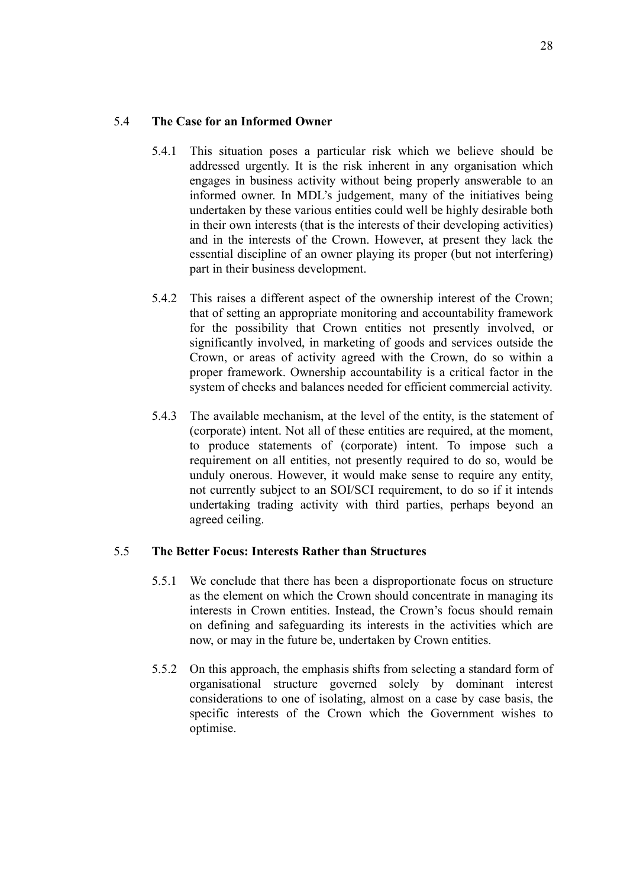#### 5.4 **The Case for an Informed Owner**

- 5.4.1 This situation poses a particular risk which we believe should be addressed urgently. It is the risk inherent in any organisation which engages in business activity without being properly answerable to an informed owner. In MDL's judgement, many of the initiatives being undertaken by these various entities could well be highly desirable both in their own interests (that is the interests of their developing activities) and in the interests of the Crown. However, at present they lack the essential discipline of an owner playing its proper (but not interfering) part in their business development.
- 5.4.2 This raises a different aspect of the ownership interest of the Crown; that of setting an appropriate monitoring and accountability framework for the possibility that Crown entities not presently involved, or significantly involved, in marketing of goods and services outside the Crown, or areas of activity agreed with the Crown, do so within a proper framework. Ownership accountability is a critical factor in the system of checks and balances needed for efficient commercial activity.
- 5.4.3 The available mechanism, at the level of the entity, is the statement of (corporate) intent. Not all of these entities are required, at the moment, to produce statements of (corporate) intent. To impose such a requirement on all entities, not presently required to do so, would be unduly onerous. However, it would make sense to require any entity, not currently subject to an SOI/SCI requirement, to do so if it intends undertaking trading activity with third parties, perhaps beyond an agreed ceiling.

#### 5.5 **The Better Focus: Interests Rather than Structures**

- 5.5.1 We conclude that there has been a disproportionate focus on structure as the element on which the Crown should concentrate in managing its interests in Crown entities. Instead, the Crown's focus should remain on defining and safeguarding its interests in the activities which are now, or may in the future be, undertaken by Crown entities.
- 5.5.2 On this approach, the emphasis shifts from selecting a standard form of organisational structure governed solely by dominant interest considerations to one of isolating, almost on a case by case basis, the specific interests of the Crown which the Government wishes to optimise.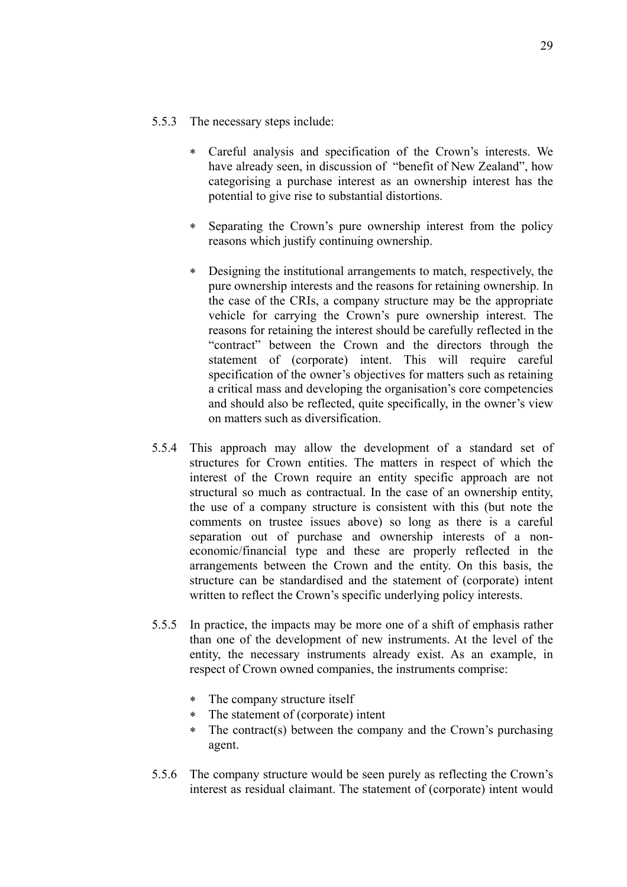- 5.5.3 The necessary steps include:
	- ∗ Careful analysis and specification of the Crown's interests. We have already seen, in discussion of "benefit of New Zealand", how categorising a purchase interest as an ownership interest has the potential to give rise to substantial distortions.
	- ∗ Separating the Crown's pure ownership interest from the policy reasons which justify continuing ownership.
	- ∗ Designing the institutional arrangements to match, respectively, the pure ownership interests and the reasons for retaining ownership. In the case of the CRIs, a company structure may be the appropriate vehicle for carrying the Crown's pure ownership interest. The reasons for retaining the interest should be carefully reflected in the "contract" between the Crown and the directors through the statement of (corporate) intent. This will require careful specification of the owner's objectives for matters such as retaining a critical mass and developing the organisation's core competencies and should also be reflected, quite specifically, in the owner's view on matters such as diversification.
- 5.5.4 This approach may allow the development of a standard set of structures for Crown entities. The matters in respect of which the interest of the Crown require an entity specific approach are not structural so much as contractual. In the case of an ownership entity, the use of a company structure is consistent with this (but note the comments on trustee issues above) so long as there is a careful separation out of purchase and ownership interests of a noneconomic/financial type and these are properly reflected in the arrangements between the Crown and the entity. On this basis, the structure can be standardised and the statement of (corporate) intent written to reflect the Crown's specific underlying policy interests.
- 5.5.5 In practice, the impacts may be more one of a shift of emphasis rather than one of the development of new instruments. At the level of the entity, the necessary instruments already exist. As an example, in respect of Crown owned companies, the instruments comprise:
	- ∗ The company structure itself
	- ∗ The statement of (corporate) intent
	- The contract(s) between the company and the Crown's purchasing agent.
- 5.5.6 The company structure would be seen purely as reflecting the Crown's interest as residual claimant. The statement of (corporate) intent would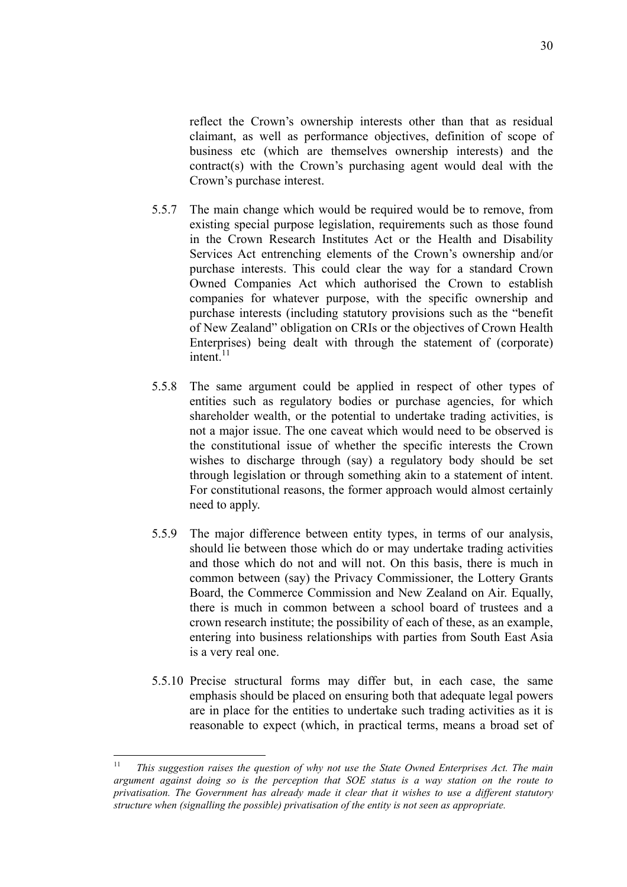reflect the Crown's ownership interests other than that as residual claimant, as well as performance objectives, definition of scope of business etc (which are themselves ownership interests) and the contract(s) with the Crown's purchasing agent would deal with the Crown's purchase interest.

- 5.5.7 The main change which would be required would be to remove, from existing special purpose legislation, requirements such as those found in the Crown Research Institutes Act or the Health and Disability Services Act entrenching elements of the Crown's ownership and/or purchase interests. This could clear the way for a standard Crown Owned Companies Act which authorised the Crown to establish companies for whatever purpose, with the specific ownership and purchase interests (including statutory provisions such as the "benefit of New Zealand" obligation on CRIs or the objectives of Crown Health Enterprises) being dealt with through the statement of (corporate)  $intent$ <sup>11</sup>
- 5.5.8 The same argument could be applied in respect of other types of entities such as regulatory bodies or purchase agencies, for which shareholder wealth, or the potential to undertake trading activities, is not a major issue. The one caveat which would need to be observed is the constitutional issue of whether the specific interests the Crown wishes to discharge through (say) a regulatory body should be set through legislation or through something akin to a statement of intent. For constitutional reasons, the former approach would almost certainly need to apply.
- 5.5.9 The major difference between entity types, in terms of our analysis, should lie between those which do or may undertake trading activities and those which do not and will not. On this basis, there is much in common between (say) the Privacy Commissioner, the Lottery Grants Board, the Commerce Commission and New Zealand on Air. Equally, there is much in common between a school board of trustees and a crown research institute; the possibility of each of these, as an example, entering into business relationships with parties from South East Asia is a very real one.
- 5.5.10 Precise structural forms may differ but, in each case, the same emphasis should be placed on ensuring both that adequate legal powers are in place for the entities to undertake such trading activities as it is reasonable to expect (which, in practical terms, means a broad set of

<sup>11</sup> 11 *This suggestion raises the question of why not use the State Owned Enterprises Act. The main argument against doing so is the perception that SOE status is a way station on the route to privatisation. The Government has already made it clear that it wishes to use a different statutory structure when (signalling the possible) privatisation of the entity is not seen as appropriate.*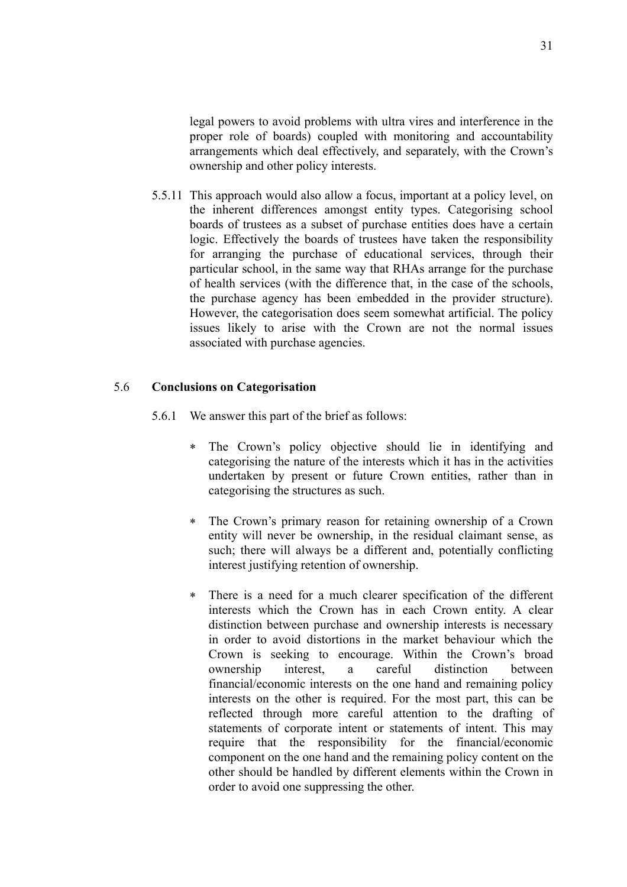legal powers to avoid problems with ultra vires and interference in the proper role of boards) coupled with monitoring and accountability arrangements which deal effectively, and separately, with the Crown's ownership and other policy interests.

5.5.11 This approach would also allow a focus, important at a policy level, on the inherent differences amongst entity types. Categorising school boards of trustees as a subset of purchase entities does have a certain logic. Effectively the boards of trustees have taken the responsibility for arranging the purchase of educational services, through their particular school, in the same way that RHAs arrange for the purchase of health services (with the difference that, in the case of the schools, the purchase agency has been embedded in the provider structure). However, the categorisation does seem somewhat artificial. The policy issues likely to arise with the Crown are not the normal issues associated with purchase agencies.

#### 5.6 **Conclusions on Categorisation**

- 5.6.1 We answer this part of the brief as follows:
	- ∗ The Crown's policy objective should lie in identifying and categorising the nature of the interests which it has in the activities undertaken by present or future Crown entities, rather than in categorising the structures as such.
	- ∗ The Crown's primary reason for retaining ownership of a Crown entity will never be ownership, in the residual claimant sense, as such; there will always be a different and, potentially conflicting interest justifying retention of ownership.
	- ∗ There is a need for a much clearer specification of the different interests which the Crown has in each Crown entity. A clear distinction between purchase and ownership interests is necessary in order to avoid distortions in the market behaviour which the Crown is seeking to encourage. Within the Crown's broad ownership interest, a careful distinction between financial/economic interests on the one hand and remaining policy interests on the other is required. For the most part, this can be reflected through more careful attention to the drafting of statements of corporate intent or statements of intent. This may require that the responsibility for the financial/economic component on the one hand and the remaining policy content on the other should be handled by different elements within the Crown in order to avoid one suppressing the other.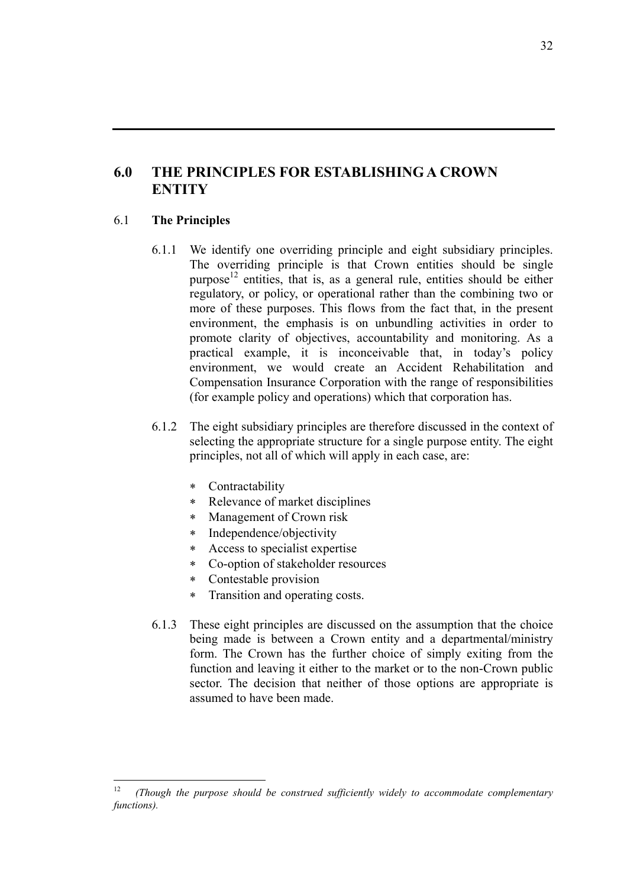## **6.0 THE PRINCIPLES FOR ESTABLISHING A CROWN ENTITY**

#### 6.1 **The Principles**

- 6.1.1 We identify one overriding principle and eight subsidiary principles. The overriding principle is that Crown entities should be single purpose<sup>12</sup> entities, that is, as a general rule, entities should be either regulatory, or policy, or operational rather than the combining two or more of these purposes. This flows from the fact that, in the present environment, the emphasis is on unbundling activities in order to promote clarity of objectives, accountability and monitoring. As a practical example, it is inconceivable that, in today's policy environment, we would create an Accident Rehabilitation and Compensation Insurance Corporation with the range of responsibilities (for example policy and operations) which that corporation has.
- 6.1.2 The eight subsidiary principles are therefore discussed in the context of selecting the appropriate structure for a single purpose entity. The eight principles, not all of which will apply in each case, are:
	- ∗ Contractability
	- ∗ Relevance of market disciplines
	- ∗ Management of Crown risk
	- ∗ Independence/objectivity
	- ∗ Access to specialist expertise
	- ∗ Co-option of stakeholder resources
	- ∗ Contestable provision
	- ∗ Transition and operating costs.
- 6.1.3 These eight principles are discussed on the assumption that the choice being made is between a Crown entity and a departmental/ministry form. The Crown has the further choice of simply exiting from the function and leaving it either to the market or to the non-Crown public sector. The decision that neither of those options are appropriate is assumed to have been made.

 $12$ <sup>12</sup> *(Though the purpose should be construed sufficiently widely to accommodate complementary functions).*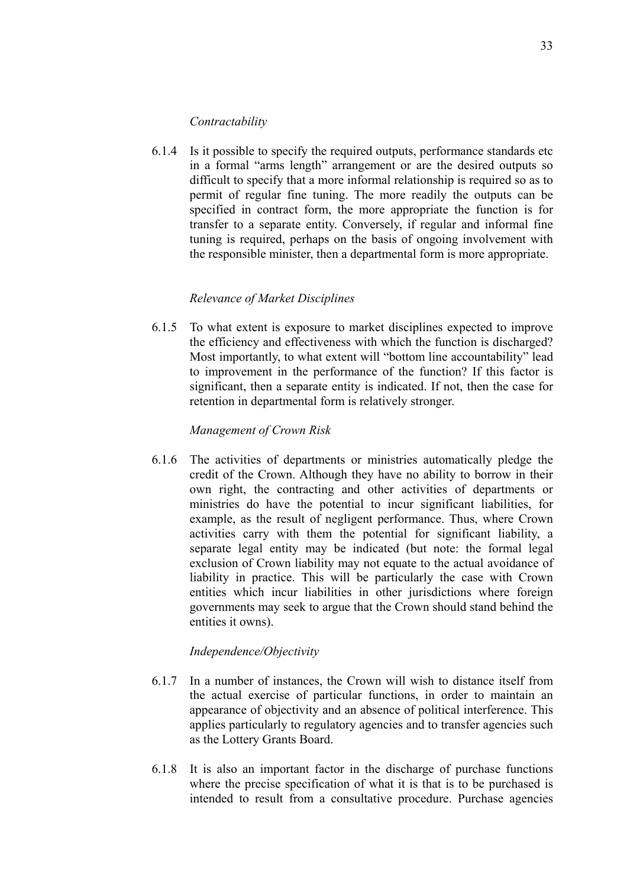#### *Contractability*

6.1.4 Is it possible to specify the required outputs, performance standards etc in a formal "arms length" arrangement or are the desired outputs so difficult to specify that a more informal relationship is required so as to permit of regular fine tuning. The more readily the outputs can be specified in contract form, the more appropriate the function is for transfer to a separate entity. Conversely, if regular and informal fine tuning is required, perhaps on the basis of ongoing involvement with the responsible minister, then a departmental form is more appropriate.

#### *Relevance of Market Disciplines*

6.1.5 To what extent is exposure to market disciplines expected to improve the efficiency and effectiveness with which the function is discharged? Most importantly, to what extent will "bottom line accountability" lead to improvement in the performance of the function? If this factor is significant, then a separate entity is indicated. If not, then the case for retention in departmental form is relatively stronger.

#### *Management of Crown Risk*

6.1.6 The activities of departments or ministries automatically pledge the credit of the Crown. Although they have no ability to borrow in their own right, the contracting and other activities of departments or ministries do have the potential to incur significant liabilities, for example, as the result of negligent performance. Thus, where Crown activities carry with them the potential for significant liability, a separate legal entity may be indicated (but note: the formal legal exclusion of Crown liability may not equate to the actual avoidance of liability in practice. This will be particularly the case with Crown entities which incur liabilities in other jurisdictions where foreign governments may seek to argue that the Crown should stand behind the entities it owns).

#### *Independence/Objectivity*

- 6.1.7 In a number of instances, the Crown will wish to distance itself from the actual exercise of particular functions, in order to maintain an appearance of objectivity and an absence of political interference. This applies particularly to regulatory agencies and to transfer agencies such as the Lottery Grants Board.
- 6.1.8 It is also an important factor in the discharge of purchase functions where the precise specification of what it is that is to be purchased is intended to result from a consultative procedure. Purchase agencies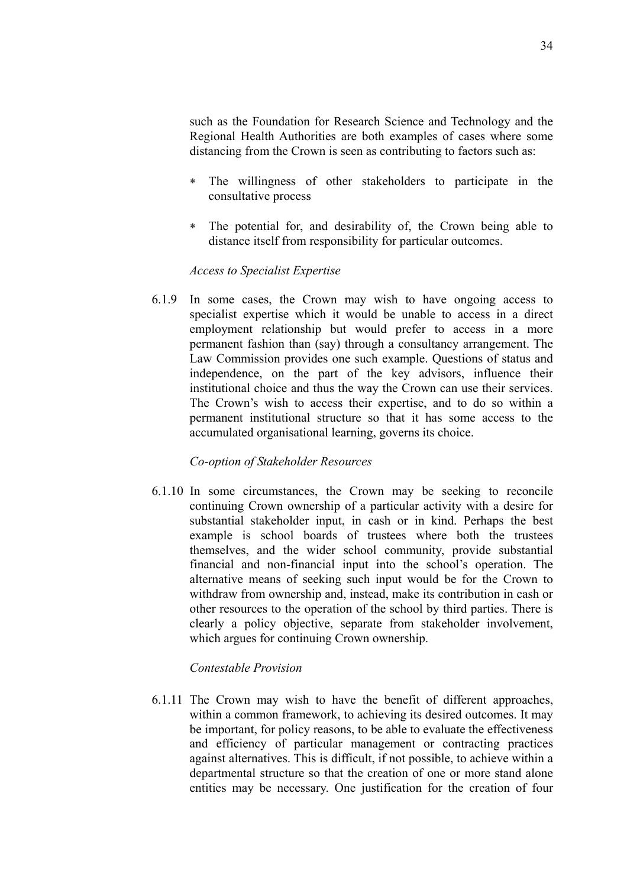such as the Foundation for Research Science and Technology and the Regional Health Authorities are both examples of cases where some distancing from the Crown is seen as contributing to factors such as:

- ∗ The willingness of other stakeholders to participate in the consultative process
- ∗ The potential for, and desirability of, the Crown being able to distance itself from responsibility for particular outcomes.

#### *Access to Specialist Expertise*

6.1.9 In some cases, the Crown may wish to have ongoing access to specialist expertise which it would be unable to access in a direct employment relationship but would prefer to access in a more permanent fashion than (say) through a consultancy arrangement. The Law Commission provides one such example. Questions of status and independence, on the part of the key advisors, influence their institutional choice and thus the way the Crown can use their services. The Crown's wish to access their expertise, and to do so within a permanent institutional structure so that it has some access to the accumulated organisational learning, governs its choice.

#### *Co-option of Stakeholder Resources*

6.1.10 In some circumstances, the Crown may be seeking to reconcile continuing Crown ownership of a particular activity with a desire for substantial stakeholder input, in cash or in kind. Perhaps the best example is school boards of trustees where both the trustees themselves, and the wider school community, provide substantial financial and non-financial input into the school's operation. The alternative means of seeking such input would be for the Crown to withdraw from ownership and, instead, make its contribution in cash or other resources to the operation of the school by third parties. There is clearly a policy objective, separate from stakeholder involvement, which argues for continuing Crown ownership.

#### *Contestable Provision*

6.1.11 The Crown may wish to have the benefit of different approaches, within a common framework, to achieving its desired outcomes. It may be important, for policy reasons, to be able to evaluate the effectiveness and efficiency of particular management or contracting practices against alternatives. This is difficult, if not possible, to achieve within a departmental structure so that the creation of one or more stand alone entities may be necessary. One justification for the creation of four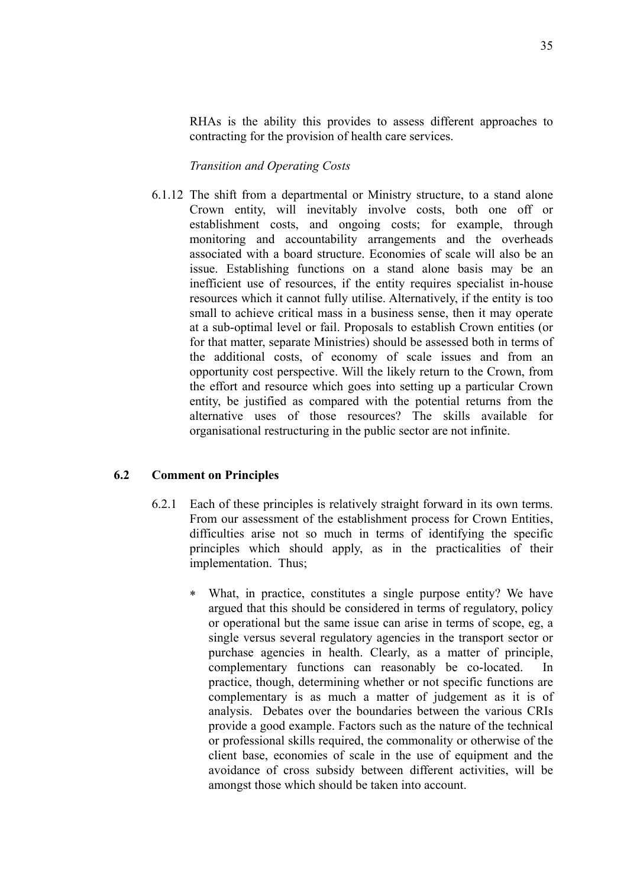RHAs is the ability this provides to assess different approaches to contracting for the provision of health care services.

*Transition and Operating Costs*

6.1.12 The shift from a departmental or Ministry structure, to a stand alone Crown entity, will inevitably involve costs, both one off or establishment costs, and ongoing costs; for example, through monitoring and accountability arrangements and the overheads associated with a board structure. Economies of scale will also be an issue. Establishing functions on a stand alone basis may be an inefficient use of resources, if the entity requires specialist in-house resources which it cannot fully utilise. Alternatively, if the entity is too small to achieve critical mass in a business sense, then it may operate at a sub-optimal level or fail. Proposals to establish Crown entities (or for that matter, separate Ministries) should be assessed both in terms of the additional costs, of economy of scale issues and from an opportunity cost perspective. Will the likely return to the Crown, from the effort and resource which goes into setting up a particular Crown entity, be justified as compared with the potential returns from the alternative uses of those resources? The skills available for organisational restructuring in the public sector are not infinite.

#### **6.2 Comment on Principles**

- 6.2.1 Each of these principles is relatively straight forward in its own terms. From our assessment of the establishment process for Crown Entities, difficulties arise not so much in terms of identifying the specific principles which should apply, as in the practicalities of their implementation. Thus;
	- ∗ What, in practice, constitutes a single purpose entity? We have argued that this should be considered in terms of regulatory, policy or operational but the same issue can arise in terms of scope, eg, a single versus several regulatory agencies in the transport sector or purchase agencies in health. Clearly, as a matter of principle, complementary functions can reasonably be co-located. In practice, though, determining whether or not specific functions are complementary is as much a matter of judgement as it is of analysis. Debates over the boundaries between the various CRIs provide a good example. Factors such as the nature of the technical or professional skills required, the commonality or otherwise of the client base, economies of scale in the use of equipment and the avoidance of cross subsidy between different activities, will be amongst those which should be taken into account.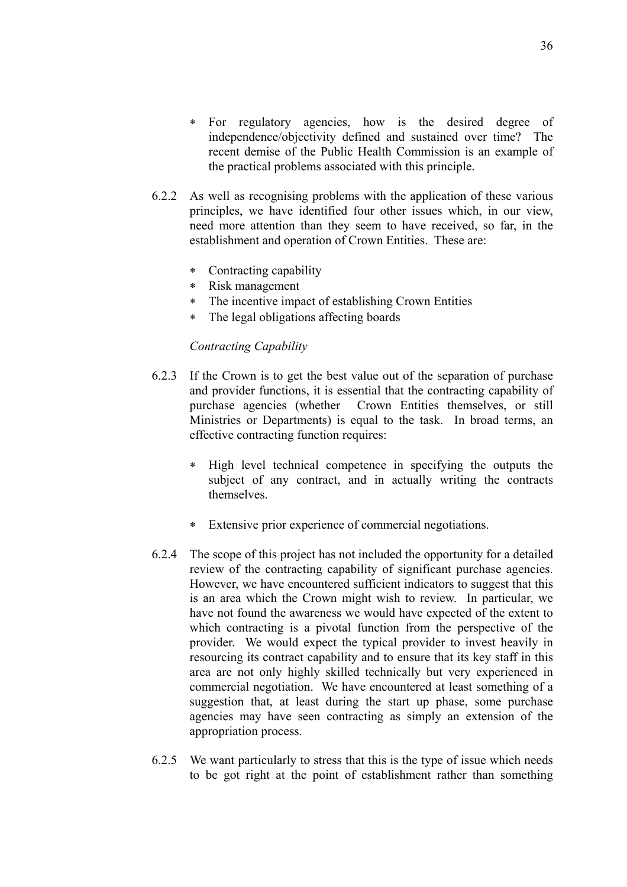- ∗ For regulatory agencies, how is the desired degree of independence/objectivity defined and sustained over time? The recent demise of the Public Health Commission is an example of the practical problems associated with this principle.
- 6.2.2 As well as recognising problems with the application of these various principles, we have identified four other issues which, in our view, need more attention than they seem to have received, so far, in the establishment and operation of Crown Entities. These are:
	- ∗ Contracting capability
	- ∗ Risk management
	- ∗ The incentive impact of establishing Crown Entities
	- ∗ The legal obligations affecting boards

#### *Contracting Capability*

- 6.2.3 If the Crown is to get the best value out of the separation of purchase and provider functions, it is essential that the contracting capability of purchase agencies (whether Crown Entities themselves, or still Ministries or Departments) is equal to the task. In broad terms, an effective contracting function requires:
	- ∗ High level technical competence in specifying the outputs the subject of any contract, and in actually writing the contracts themselves.
	- ∗ Extensive prior experience of commercial negotiations.
- 6.2.4 The scope of this project has not included the opportunity for a detailed review of the contracting capability of significant purchase agencies. However, we have encountered sufficient indicators to suggest that this is an area which the Crown might wish to review. In particular, we have not found the awareness we would have expected of the extent to which contracting is a pivotal function from the perspective of the provider. We would expect the typical provider to invest heavily in resourcing its contract capability and to ensure that its key staff in this area are not only highly skilled technically but very experienced in commercial negotiation. We have encountered at least something of a suggestion that, at least during the start up phase, some purchase agencies may have seen contracting as simply an extension of the appropriation process.
- 6.2.5 We want particularly to stress that this is the type of issue which needs to be got right at the point of establishment rather than something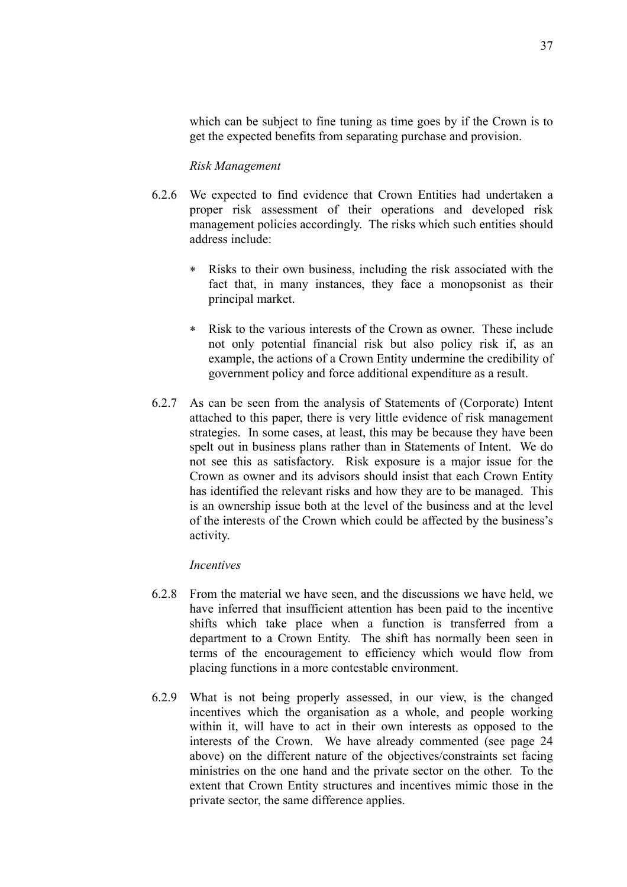which can be subject to fine tuning as time goes by if the Crown is to get the expected benefits from separating purchase and provision.

#### *Risk Management*

- 6.2.6 We expected to find evidence that Crown Entities had undertaken a proper risk assessment of their operations and developed risk management policies accordingly. The risks which such entities should address include:
	- Risks to their own business, including the risk associated with the fact that, in many instances, they face a monopsonist as their principal market.
	- ∗ Risk to the various interests of the Crown as owner. These include not only potential financial risk but also policy risk if, as an example, the actions of a Crown Entity undermine the credibility of government policy and force additional expenditure as a result.
- 6.2.7 As can be seen from the analysis of Statements of (Corporate) Intent attached to this paper, there is very little evidence of risk management strategies. In some cases, at least, this may be because they have been spelt out in business plans rather than in Statements of Intent. We do not see this as satisfactory. Risk exposure is a major issue for the Crown as owner and its advisors should insist that each Crown Entity has identified the relevant risks and how they are to be managed. This is an ownership issue both at the level of the business and at the level of the interests of the Crown which could be affected by the business's activity.

#### *Incentives*

- 6.2.8 From the material we have seen, and the discussions we have held, we have inferred that insufficient attention has been paid to the incentive shifts which take place when a function is transferred from a department to a Crown Entity. The shift has normally been seen in terms of the encouragement to efficiency which would flow from placing functions in a more contestable environment.
- 6.2.9 What is not being properly assessed, in our view, is the changed incentives which the organisation as a whole, and people working within it, will have to act in their own interests as opposed to the interests of the Crown. We have already commented (see page 24 above) on the different nature of the objectives/constraints set facing ministries on the one hand and the private sector on the other. To the extent that Crown Entity structures and incentives mimic those in the private sector, the same difference applies.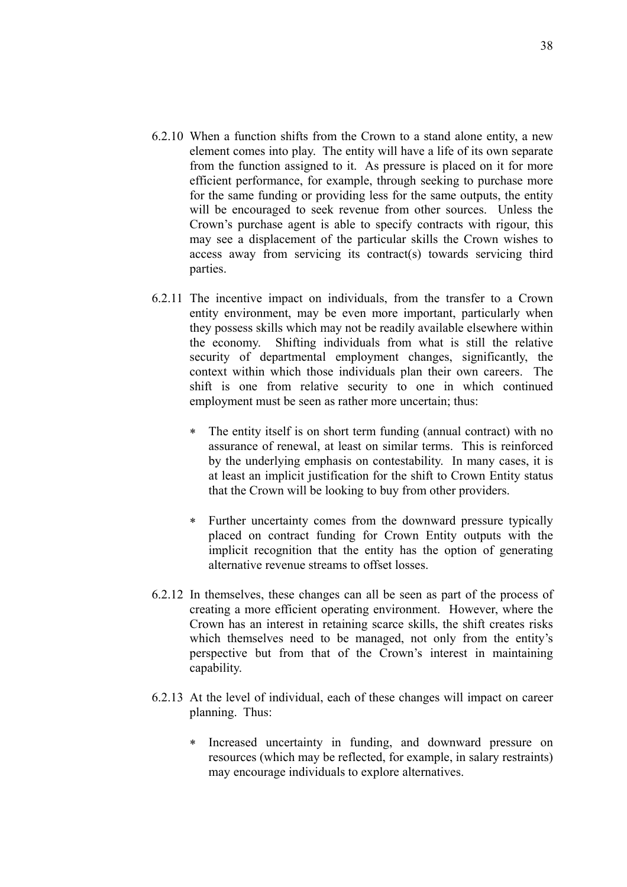- 6.2.10 When a function shifts from the Crown to a stand alone entity, a new element comes into play. The entity will have a life of its own separate from the function assigned to it. As pressure is placed on it for more efficient performance, for example, through seeking to purchase more for the same funding or providing less for the same outputs, the entity will be encouraged to seek revenue from other sources. Unless the Crown's purchase agent is able to specify contracts with rigour, this may see a displacement of the particular skills the Crown wishes to access away from servicing its contract(s) towards servicing third parties.
- 6.2.11 The incentive impact on individuals, from the transfer to a Crown entity environment, may be even more important, particularly when they possess skills which may not be readily available elsewhere within the economy. Shifting individuals from what is still the relative security of departmental employment changes, significantly, the context within which those individuals plan their own careers. The shift is one from relative security to one in which continued employment must be seen as rather more uncertain; thus:
	- ∗ The entity itself is on short term funding (annual contract) with no assurance of renewal, at least on similar terms. This is reinforced by the underlying emphasis on contestability. In many cases, it is at least an implicit justification for the shift to Crown Entity status that the Crown will be looking to buy from other providers.
	- ∗ Further uncertainty comes from the downward pressure typically placed on contract funding for Crown Entity outputs with the implicit recognition that the entity has the option of generating alternative revenue streams to offset losses.
- 6.2.12 In themselves, these changes can all be seen as part of the process of creating a more efficient operating environment. However, where the Crown has an interest in retaining scarce skills, the shift creates risks which themselves need to be managed, not only from the entity's perspective but from that of the Crown's interest in maintaining capability.
- 6.2.13 At the level of individual, each of these changes will impact on career planning. Thus:
	- Increased uncertainty in funding, and downward pressure on resources (which may be reflected, for example, in salary restraints) may encourage individuals to explore alternatives.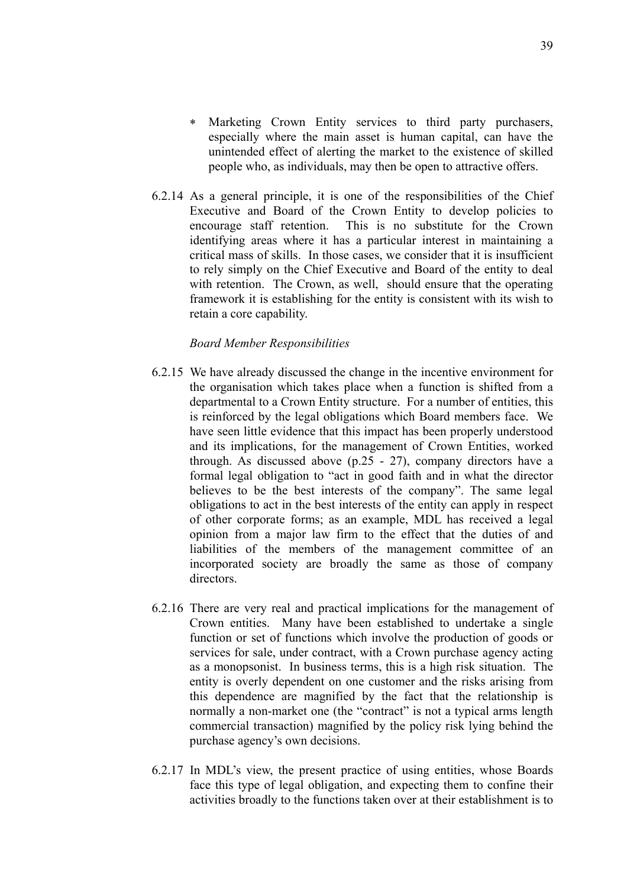- ∗ Marketing Crown Entity services to third party purchasers, especially where the main asset is human capital, can have the unintended effect of alerting the market to the existence of skilled people who, as individuals, may then be open to attractive offers.
- 6.2.14 As a general principle, it is one of the responsibilities of the Chief Executive and Board of the Crown Entity to develop policies to encourage staff retention. This is no substitute for the Crown identifying areas where it has a particular interest in maintaining a critical mass of skills. In those cases, we consider that it is insufficient to rely simply on the Chief Executive and Board of the entity to deal with retention. The Crown, as well, should ensure that the operating framework it is establishing for the entity is consistent with its wish to retain a core capability.

#### *Board Member Responsibilities*

- 6.2.15 We have already discussed the change in the incentive environment for the organisation which takes place when a function is shifted from a departmental to a Crown Entity structure. For a number of entities, this is reinforced by the legal obligations which Board members face. We have seen little evidence that this impact has been properly understood and its implications, for the management of Crown Entities, worked through. As discussed above (p.25 - 27), company directors have a formal legal obligation to "act in good faith and in what the director believes to be the best interests of the company". The same legal obligations to act in the best interests of the entity can apply in respect of other corporate forms; as an example, MDL has received a legal opinion from a major law firm to the effect that the duties of and liabilities of the members of the management committee of an incorporated society are broadly the same as those of company directors.
- 6.2.16 There are very real and practical implications for the management of Crown entities. Many have been established to undertake a single function or set of functions which involve the production of goods or services for sale, under contract, with a Crown purchase agency acting as a monopsonist. In business terms, this is a high risk situation. The entity is overly dependent on one customer and the risks arising from this dependence are magnified by the fact that the relationship is normally a non-market one (the "contract" is not a typical arms length commercial transaction) magnified by the policy risk lying behind the purchase agency's own decisions.
- 6.2.17 In MDL's view, the present practice of using entities, whose Boards face this type of legal obligation, and expecting them to confine their activities broadly to the functions taken over at their establishment is to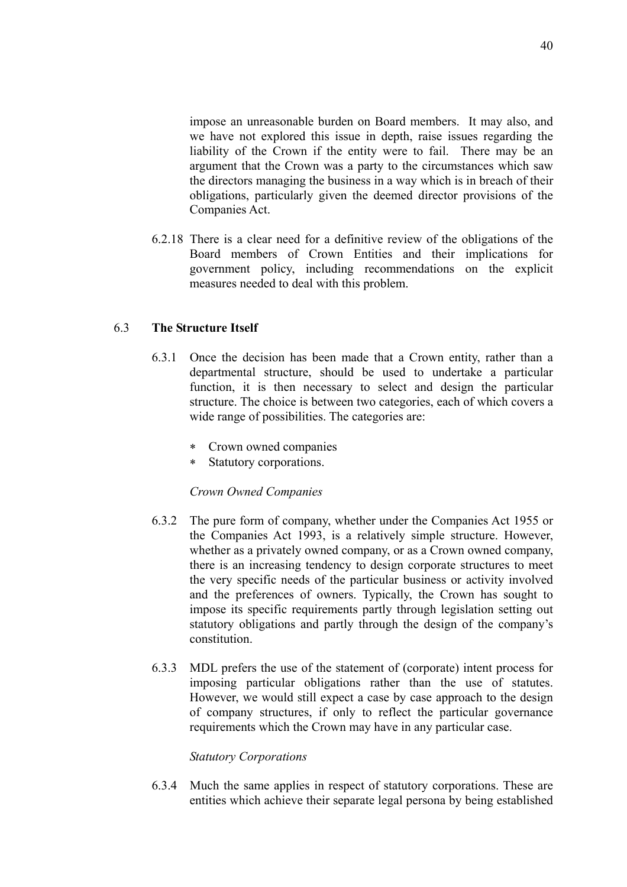impose an unreasonable burden on Board members. It may also, and we have not explored this issue in depth, raise issues regarding the liability of the Crown if the entity were to fail. There may be an argument that the Crown was a party to the circumstances which saw the directors managing the business in a way which is in breach of their obligations, particularly given the deemed director provisions of the Companies Act.

6.2.18 There is a clear need for a definitive review of the obligations of the Board members of Crown Entities and their implications for government policy, including recommendations on the explicit measures needed to deal with this problem.

#### 6.3 **The Structure Itself**

- 6.3.1 Once the decision has been made that a Crown entity, rather than a departmental structure, should be used to undertake a particular function, it is then necessary to select and design the particular structure. The choice is between two categories, each of which covers a wide range of possibilities. The categories are:
	- Crown owned companies
	- ∗ Statutory corporations.

#### *Crown Owned Companies*

- 6.3.2 The pure form of company, whether under the Companies Act 1955 or the Companies Act 1993, is a relatively simple structure. However, whether as a privately owned company, or as a Crown owned company, there is an increasing tendency to design corporate structures to meet the very specific needs of the particular business or activity involved and the preferences of owners. Typically, the Crown has sought to impose its specific requirements partly through legislation setting out statutory obligations and partly through the design of the company's constitution.
- 6.3.3 MDL prefers the use of the statement of (corporate) intent process for imposing particular obligations rather than the use of statutes. However, we would still expect a case by case approach to the design of company structures, if only to reflect the particular governance requirements which the Crown may have in any particular case.

#### *Statutory Corporations*

6.3.4 Much the same applies in respect of statutory corporations. These are entities which achieve their separate legal persona by being established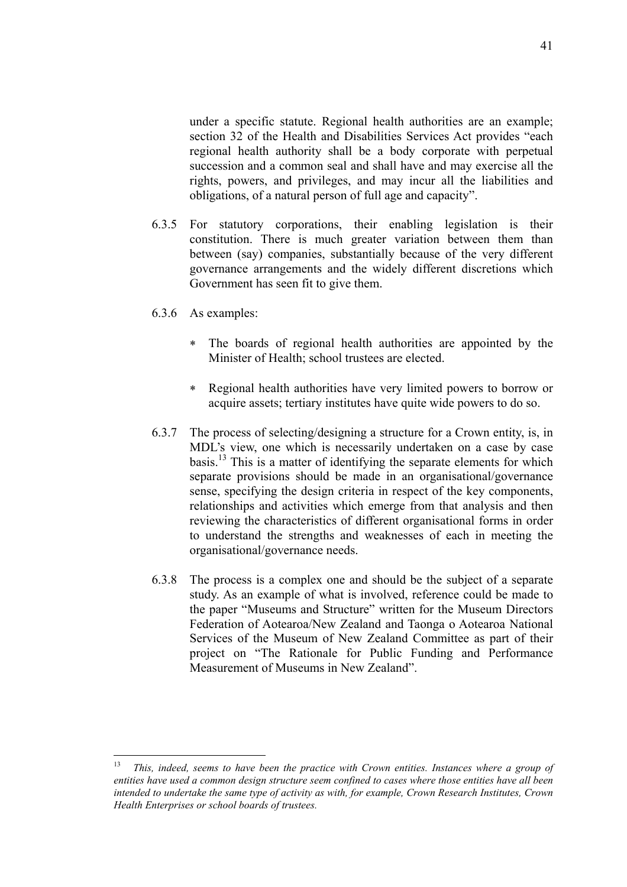under a specific statute. Regional health authorities are an example; section 32 of the Health and Disabilities Services Act provides "each regional health authority shall be a body corporate with perpetual succession and a common seal and shall have and may exercise all the rights, powers, and privileges, and may incur all the liabilities and obligations, of a natural person of full age and capacity".

- 6.3.5 For statutory corporations, their enabling legislation is their constitution. There is much greater variation between them than between (say) companies, substantially because of the very different governance arrangements and the widely different discretions which Government has seen fit to give them.
- 6.3.6 As examples:
	- ∗ The boards of regional health authorities are appointed by the Minister of Health; school trustees are elected.
	- ∗ Regional health authorities have very limited powers to borrow or acquire assets; tertiary institutes have quite wide powers to do so.
- 6.3.7 The process of selecting/designing a structure for a Crown entity, is, in MDL's view, one which is necessarily undertaken on a case by case basis.13 This is a matter of identifying the separate elements for which separate provisions should be made in an organisational/governance sense, specifying the design criteria in respect of the key components, relationships and activities which emerge from that analysis and then reviewing the characteristics of different organisational forms in order to understand the strengths and weaknesses of each in meeting the organisational/governance needs.
- 6.3.8 The process is a complex one and should be the subject of a separate study. As an example of what is involved, reference could be made to the paper "Museums and Structure" written for the Museum Directors Federation of Aotearoa/New Zealand and Taonga o Aotearoa National Services of the Museum of New Zealand Committee as part of their project on "The Rationale for Public Funding and Performance Measurement of Museums in New Zealand".

<sup>13</sup> 13 *This, indeed, seems to have been the practice with Crown entities. Instances where a group of entities have used a common design structure seem confined to cases where those entities have all been intended to undertake the same type of activity as with, for example, Crown Research Institutes, Crown Health Enterprises or school boards of trustees.*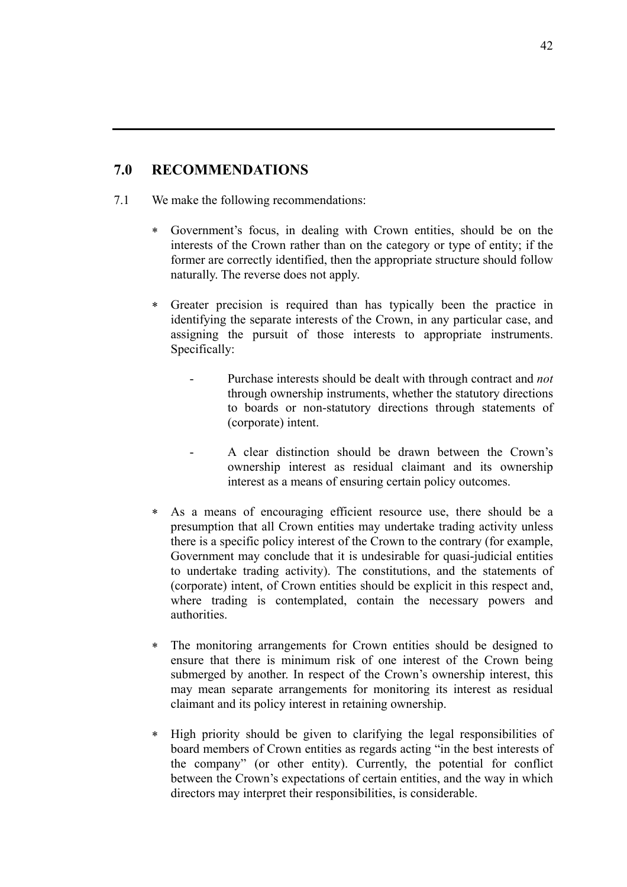## **7.0 RECOMMENDATIONS**

- 7.1 We make the following recommendations:
	- ∗ Government's focus, in dealing with Crown entities, should be on the interests of the Crown rather than on the category or type of entity; if the former are correctly identified, then the appropriate structure should follow naturally. The reverse does not apply.
	- ∗ Greater precision is required than has typically been the practice in identifying the separate interests of the Crown, in any particular case, and assigning the pursuit of those interests to appropriate instruments. Specifically:
		- Purchase interests should be dealt with through contract and *not* through ownership instruments, whether the statutory directions to boards or non-statutory directions through statements of (corporate) intent.
		- A clear distinction should be drawn between the Crown's ownership interest as residual claimant and its ownership interest as a means of ensuring certain policy outcomes.
	- ∗ As a means of encouraging efficient resource use, there should be a presumption that all Crown entities may undertake trading activity unless there is a specific policy interest of the Crown to the contrary (for example, Government may conclude that it is undesirable for quasi-judicial entities to undertake trading activity). The constitutions, and the statements of (corporate) intent, of Crown entities should be explicit in this respect and, where trading is contemplated, contain the necessary powers and authorities.
	- ∗ The monitoring arrangements for Crown entities should be designed to ensure that there is minimum risk of one interest of the Crown being submerged by another. In respect of the Crown's ownership interest, this may mean separate arrangements for monitoring its interest as residual claimant and its policy interest in retaining ownership.
	- ∗ High priority should be given to clarifying the legal responsibilities of board members of Crown entities as regards acting "in the best interests of the company" (or other entity). Currently, the potential for conflict between the Crown's expectations of certain entities, and the way in which directors may interpret their responsibilities, is considerable.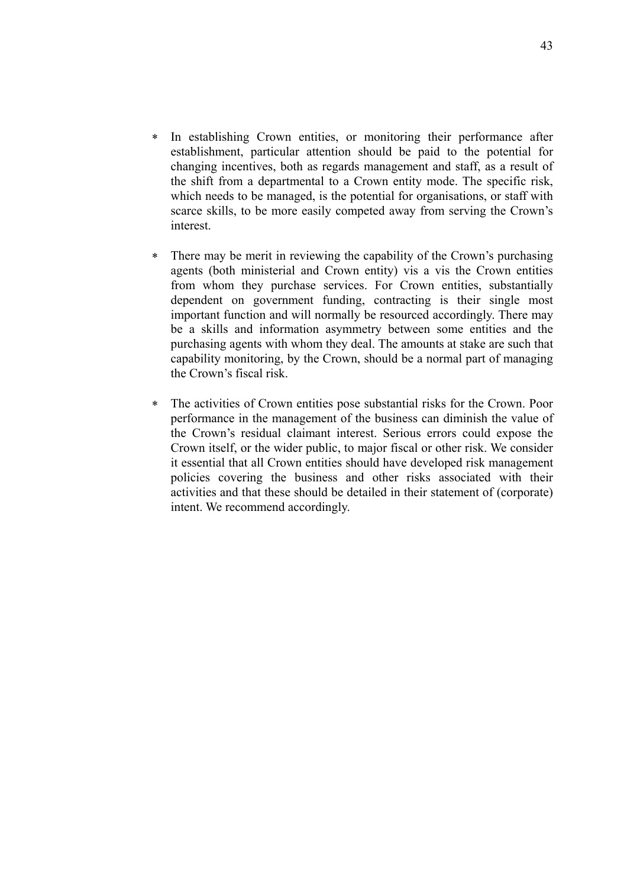- ∗ In establishing Crown entities, or monitoring their performance after establishment, particular attention should be paid to the potential for changing incentives, both as regards management and staff, as a result of the shift from a departmental to a Crown entity mode. The specific risk, which needs to be managed, is the potential for organisations, or staff with scarce skills, to be more easily competed away from serving the Crown's interest.
- ∗ There may be merit in reviewing the capability of the Crown's purchasing agents (both ministerial and Crown entity) vis a vis the Crown entities from whom they purchase services. For Crown entities, substantially dependent on government funding, contracting is their single most important function and will normally be resourced accordingly. There may be a skills and information asymmetry between some entities and the purchasing agents with whom they deal. The amounts at stake are such that capability monitoring, by the Crown, should be a normal part of managing the Crown's fiscal risk.
- ∗ The activities of Crown entities pose substantial risks for the Crown. Poor performance in the management of the business can diminish the value of the Crown's residual claimant interest. Serious errors could expose the Crown itself, or the wider public, to major fiscal or other risk. We consider it essential that all Crown entities should have developed risk management policies covering the business and other risks associated with their activities and that these should be detailed in their statement of (corporate) intent. We recommend accordingly.